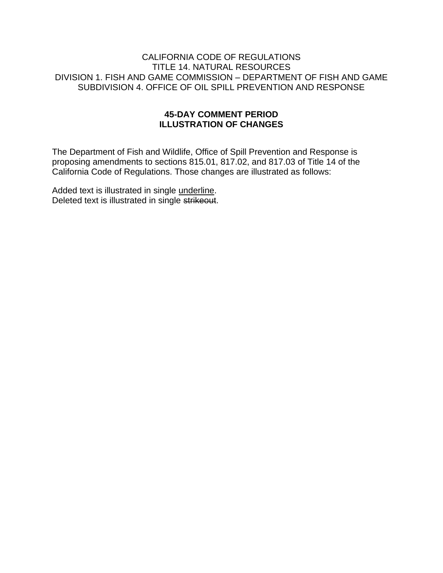#### CALIFORNIA CODE OF REGULATIONS TITLE 14. NATURAL RESOURCES DIVISION 1. FISH AND GAME COMMISSION – DEPARTMENT OF FISH AND GAME SUBDIVISION 4. OFFICE OF OIL SPILL PREVENTION AND RESPONSE

#### **45-DAY COMMENT PERIOD ILLUSTRATION OF CHANGES**

The Department of Fish and Wildlife, Office of Spill Prevention and Response is proposing amendments to sections 815.01, 817.02, and 817.03 of Title 14 of the California Code of Regulations. Those changes are illustrated as follows:

Added text is illustrated in single underline. Deleted text is illustrated in single strikeout.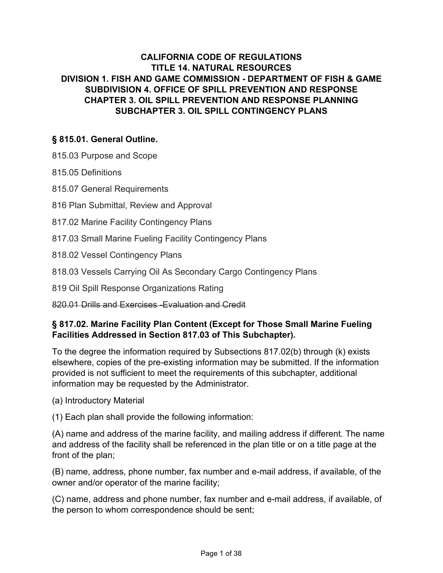# **CALIFORNIA CODE OF REGULATIONS TITLE 14. NATURAL RESOURCES DIVISION 1. FISH AND GAME COMMISSION - DEPARTMENT OF FISH & GAME SUBDIVISION 4. OFFICE OF SPILL PREVENTION AND RESPONSE CHAPTER 3. OIL SPILL PREVENTION AND RESPONSE PLANNING SUBCHAPTER 3. OIL SPILL CONTINGENCY PLANS**

## **§ 815.01. General Outline.**

815.03 Purpose and Scope

815.05 Definitions

815.07 General Requirements

816 Plan Submittal, Review and Approval

817.02 Marine Facility Contingency Plans

817.03 Small Marine Fueling Facility Contingency Plans

818.02 Vessel Contingency Plans

818.03 Vessels Carrying Oil As Secondary Cargo Contingency Plans

819 Oil Spill Response Organizations Rating

820.01 Drills and Exercises -Evaluation and Credit

## **§ 817.02. Marine Facility Plan Content (Except for Those Small Marine Fueling Facilities Addressed in Section 817.03 of This Subchapter).**

To the degree the information required by Subsections 817.02(b) through (k) exists elsewhere, copies of the pre-existing information may be submitted. If the information provided is not sufficient to meet the requirements of this subchapter, additional information may be requested by the Administrator.

(a) Introductory Material

(1) Each plan shall provide the following information:

(A) name and address of the marine facility, and mailing address if different. The name and address of the facility shall be referenced in the plan title or on a title page at the front of the plan;

(B) name, address, phone number, fax number and e-mail address, if available, of the owner and/or operator of the marine facility;

(C) name, address and phone number, fax number and e-mail address, if available, of the person to whom correspondence should be sent;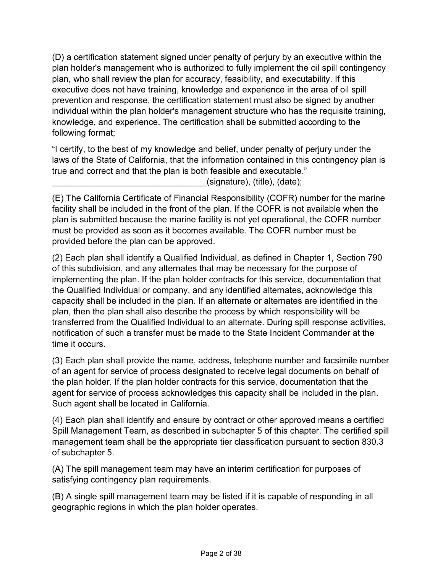(D) a certification statement signed under penalty of perjury by an executive within the plan holder's management who is authorized to fully implement the oil spill contingency plan, who shall review the plan for accuracy, feasibility, and executability. If this executive does not have training, knowledge and experience in the area of oil spill prevention and response, the certification statement must also be signed by another individual within the plan holder's management structure who has the requisite training, knowledge, and experience. The certification shall be submitted according to the following format;

"I certify, to the best of my knowledge and belief, under penalty of perjury under the laws of the State of California, that the information contained in this contingency plan is true and correct and that the plan is both feasible and executable."

 $(s$ ignature), (title), (date);

(E) The California Certificate of Financial Responsibility (COFR) number for the marine facility shall be included in the front of the plan. If the COFR is not available when the plan is submitted because the marine facility is not yet operational, the COFR number must be provided as soon as it becomes available. The COFR number must be provided before the plan can be approved.

(2) Each plan shall identify a Qualified Individual, as defined in Chapter 1, Section 790 of this subdivision, and any alternates that may be necessary for the purpose of implementing the plan. If the plan holder contracts for this service, documentation that the Qualified Individual or company, and any identified alternates, acknowledge this capacity shall be included in the plan. If an alternate or alternates are identified in the plan, then the plan shall also describe the process by which responsibility will be transferred from the Qualified Individual to an alternate. During spill response activities, notification of such a transfer must be made to the State Incident Commander at the time it occurs.

(3) Each plan shall provide the name, address, telephone number and facsimile number of an agent for service of process designated to receive legal documents on behalf of the plan holder. If the plan holder contracts for this service, documentation that the agent for service of process acknowledges this capacity shall be included in the plan. Such agent shall be located in California.

(4) Each plan shall identify and ensure by contract or other approved means a certified Spill Management Team, as described in subchapter 5 of this chapter. The certified spill management team shall be the appropriate tier classification pursuant to section 830.3 of subchapter 5.

(A) The spill management team may have an interim certification for purposes of satisfying contingency plan requirements.

(B) A single spill management team may be listed if it is capable of responding in all geographic regions in which the plan holder operates.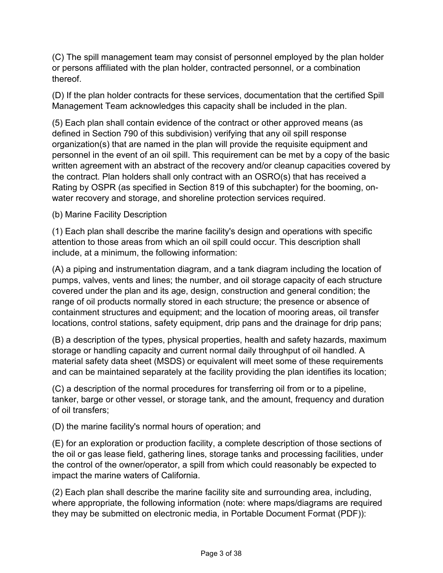(C) The spill management team may consist of personnel employed by the plan holder or persons affiliated with the plan holder, contracted personnel, or a combination thereof.

(D) If the plan holder contracts for these services, documentation that the certified Spill Management Team acknowledges this capacity shall be included in the plan.

(5) Each plan shall contain evidence of the contract or other approved means (as defined in Section 790 of this subdivision) verifying that any oil spill response organization(s) that are named in the plan will provide the requisite equipment and personnel in the event of an oil spill. This requirement can be met by a copy of the basic written agreement with an abstract of the recovery and/or cleanup capacities covered by the contract. Plan holders shall only contract with an OSRO(s) that has received a Rating by OSPR (as specified in Section 819 of this subchapter) for the booming, onwater recovery and storage, and shoreline protection services required.

(b) Marine Facility Description

(1) Each plan shall describe the marine facility's design and operations with specific attention to those areas from which an oil spill could occur. This description shall include, at a minimum, the following information:

(A) a piping and instrumentation diagram, and a tank diagram including the location of pumps, valves, vents and lines; the number, and oil storage capacity of each structure covered under the plan and its age, design, construction and general condition; the range of oil products normally stored in each structure; the presence or absence of containment structures and equipment; and the location of mooring areas, oil transfer locations, control stations, safety equipment, drip pans and the drainage for drip pans;

(B) a description of the types, physical properties, health and safety hazards, maximum storage or handling capacity and current normal daily throughput of oil handled. A material safety data sheet (MSDS) or equivalent will meet some of these requirements and can be maintained separately at the facility providing the plan identifies its location;

(C) a description of the normal procedures for transferring oil from or to a pipeline, tanker, barge or other vessel, or storage tank, and the amount, frequency and duration of oil transfers;

(D) the marine facility's normal hours of operation; and

(E) for an exploration or production facility, a complete description of those sections of the oil or gas lease field, gathering lines, storage tanks and processing facilities, under the control of the owner/operator, a spill from which could reasonably be expected to impact the marine waters of California.

(2) Each plan shall describe the marine facility site and surrounding area, including, where appropriate, the following information (note: where maps/diagrams are required they may be submitted on electronic media, in Portable Document Format (PDF)):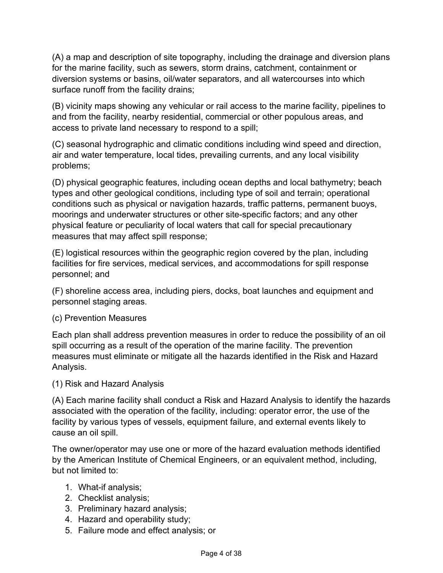(A) a map and description of site topography, including the drainage and diversion plans for the marine facility, such as sewers, storm drains, catchment, containment or diversion systems or basins, oil/water separators, and all watercourses into which surface runoff from the facility drains;

(B) vicinity maps showing any vehicular or rail access to the marine facility, pipelines to and from the facility, nearby residential, commercial or other populous areas, and access to private land necessary to respond to a spill;

(C) seasonal hydrographic and climatic conditions including wind speed and direction, air and water temperature, local tides, prevailing currents, and any local visibility problems;

(D) physical geographic features, including ocean depths and local bathymetry; beach types and other geological conditions, including type of soil and terrain; operational conditions such as physical or navigation hazards, traffic patterns, permanent buoys, moorings and underwater structures or other site-specific factors; and any other physical feature or peculiarity of local waters that call for special precautionary measures that may affect spill response;

(E) logistical resources within the geographic region covered by the plan, including facilities for fire services, medical services, and accommodations for spill response personnel; and

(F) shoreline access area, including piers, docks, boat launches and equipment and personnel staging areas.

## (c) Prevention Measures

Each plan shall address prevention measures in order to reduce the possibility of an oil spill occurring as a result of the operation of the marine facility. The prevention measures must eliminate or mitigate all the hazards identified in the Risk and Hazard Analysis.

(1) Risk and Hazard Analysis

(A) Each marine facility shall conduct a Risk and Hazard Analysis to identify the hazards associated with the operation of the facility, including: operator error, the use of the facility by various types of vessels, equipment failure, and external events likely to cause an oil spill.

The owner/operator may use one or more of the hazard evaluation methods identified by the American Institute of Chemical Engineers, or an equivalent method, including, but not limited to:

- 1. What-if analysis;
- 2. Checklist analysis;
- 3. Preliminary hazard analysis;
- 4. Hazard and operability study;
- 5. Failure mode and effect analysis; or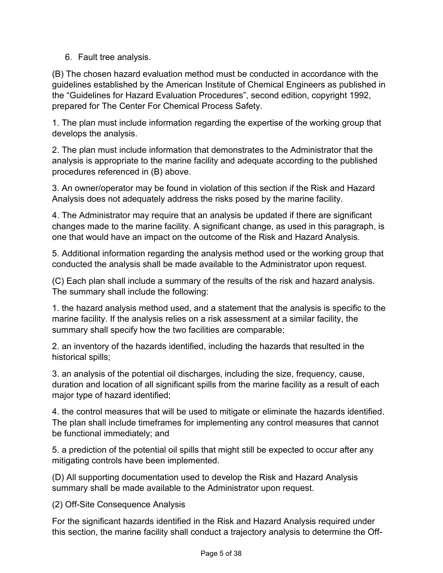6. Fault tree analysis.

(B) The chosen hazard evaluation method must be conducted in accordance with the guidelines established by the American Institute of Chemical Engineers as published in the "Guidelines for Hazard Evaluation Procedures", second edition, copyright 1992, prepared for The Center For Chemical Process Safety.

1. The plan must include information regarding the expertise of the working group that develops the analysis.

2. The plan must include information that demonstrates to the Administrator that the analysis is appropriate to the marine facility and adequate according to the published procedures referenced in (B) above.

3. An owner/operator may be found in violation of this section if the Risk and Hazard Analysis does not adequately address the risks posed by the marine facility.

4. The Administrator may require that an analysis be updated if there are significant changes made to the marine facility. A significant change, as used in this paragraph, is one that would have an impact on the outcome of the Risk and Hazard Analysis.

5. Additional information regarding the analysis method used or the working group that conducted the analysis shall be made available to the Administrator upon request.

(C) Each plan shall include a summary of the results of the risk and hazard analysis. The summary shall include the following:

1. the hazard analysis method used, and a statement that the analysis is specific to the marine facility. If the analysis relies on a risk assessment at a similar facility, the summary shall specify how the two facilities are comparable;

2. an inventory of the hazards identified, including the hazards that resulted in the historical spills;

3. an analysis of the potential oil discharges, including the size, frequency, cause, duration and location of all significant spills from the marine facility as a result of each major type of hazard identified;

4. the control measures that will be used to mitigate or eliminate the hazards identified. The plan shall include timeframes for implementing any control measures that cannot be functional immediately; and

5. a prediction of the potential oil spills that might still be expected to occur after any mitigating controls have been implemented.

(D) All supporting documentation used to develop the Risk and Hazard Analysis summary shall be made available to the Administrator upon request.

(2) Off-Site Consequence Analysis

For the significant hazards identified in the Risk and Hazard Analysis required under this section, the marine facility shall conduct a trajectory analysis to determine the Off-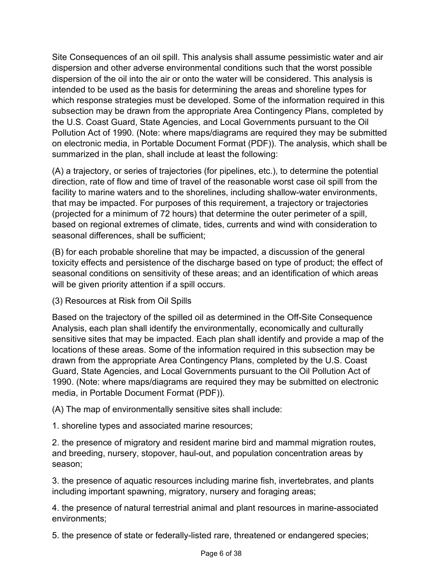Site Consequences of an oil spill. This analysis shall assume pessimistic water and air dispersion and other adverse environmental conditions such that the worst possible dispersion of the oil into the air or onto the water will be considered. This analysis is intended to be used as the basis for determining the areas and shoreline types for which response strategies must be developed. Some of the information required in this subsection may be drawn from the appropriate Area Contingency Plans, completed by the U.S. Coast Guard, State Agencies, and Local Governments pursuant to the Oil Pollution Act of 1990. (Note: where maps/diagrams are required they may be submitted on electronic media, in Portable Document Format (PDF)). The analysis, which shall be summarized in the plan, shall include at least the following:

(A) a trajectory, or series of trajectories (for pipelines, etc.), to determine the potential direction, rate of flow and time of travel of the reasonable worst case oil spill from the facility to marine waters and to the shorelines, including shallow-water environments, that may be impacted. For purposes of this requirement, a trajectory or trajectories (projected for a minimum of 72 hours) that determine the outer perimeter of a spill, based on regional extremes of climate, tides, currents and wind with consideration to seasonal differences, shall be sufficient;

(B) for each probable shoreline that may be impacted, a discussion of the general toxicity effects and persistence of the discharge based on type of product; the effect of seasonal conditions on sensitivity of these areas; and an identification of which areas will be given priority attention if a spill occurs.

(3) Resources at Risk from Oil Spills

Based on the trajectory of the spilled oil as determined in the Off-Site Consequence Analysis, each plan shall identify the environmentally, economically and culturally sensitive sites that may be impacted. Each plan shall identify and provide a map of the locations of these areas. Some of the information required in this subsection may be drawn from the appropriate Area Contingency Plans, completed by the U.S. Coast Guard, State Agencies, and Local Governments pursuant to the Oil Pollution Act of 1990. (Note: where maps/diagrams are required they may be submitted on electronic media, in Portable Document Format (PDF)).

(A) The map of environmentally sensitive sites shall include:

1. shoreline types and associated marine resources;

2. the presence of migratory and resident marine bird and mammal migration routes, and breeding, nursery, stopover, haul-out, and population concentration areas by season;

3. the presence of aquatic resources including marine fish, invertebrates, and plants including important spawning, migratory, nursery and foraging areas;

4. the presence of natural terrestrial animal and plant resources in marine-associated environments;

5. the presence of state or federally-listed rare, threatened or endangered species;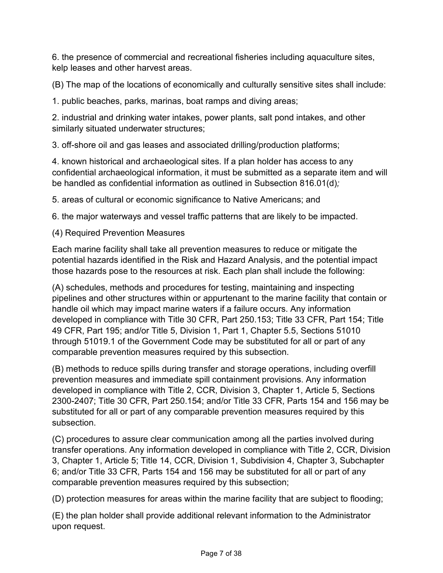6. the presence of commercial and recreational fisheries including aquaculture sites, kelp leases and other harvest areas.

(B) The map of the locations of economically and culturally sensitive sites shall include:

1. public beaches, parks, marinas, boat ramps and diving areas;

2. industrial and drinking water intakes, power plants, salt pond intakes, and other similarly situated underwater structures;

3. off-shore oil and gas leases and associated drilling/production platforms;

4. known historical and archaeological sites. If a plan holder has access to any confidential archaeological information, it must be submitted as a separate item and will be handled as confidential information as outlined in Subsection 816.01(d)*;*

5. areas of cultural or economic significance to Native Americans; and

6. the major waterways and vessel traffic patterns that are likely to be impacted.

(4) Required Prevention Measures

Each marine facility shall take all prevention measures to reduce or mitigate the potential hazards identified in the Risk and Hazard Analysis, and the potential impact those hazards pose to the resources at risk. Each plan shall include the following:

(A) schedules, methods and procedures for testing, maintaining and inspecting pipelines and other structures within or appurtenant to the marine facility that contain or handle oil which may impact marine waters if a failure occurs. Any information developed in compliance with Title 30 CFR, Part 250.153; Title 33 CFR, Part 154; Title 49 CFR, Part 195; and/or Title 5, Division 1, Part 1, Chapter 5.5, Sections 51010 through 51019.1 of the Government Code may be substituted for all or part of any comparable prevention measures required by this subsection.

(B) methods to reduce spills during transfer and storage operations, including overfill prevention measures and immediate spill containment provisions. Any information developed in compliance with Title 2, CCR, Division 3, Chapter 1, Article 5, Sections 2300-2407; Title 30 CFR, Part 250.154; and/or Title 33 CFR, Parts 154 and 156 may be substituted for all or part of any comparable prevention measures required by this subsection.

(C) procedures to assure clear communication among all the parties involved during transfer operations. Any information developed in compliance with Title 2, CCR, Division 3, Chapter 1, Article 5; Title 14, CCR, Division 1, Subdivision 4, Chapter 3, Subchapter 6; and/or Title 33 CFR, Parts 154 and 156 may be substituted for all or part of any comparable prevention measures required by this subsection;

(D) protection measures for areas within the marine facility that are subject to flooding;

(E) the plan holder shall provide additional relevant information to the Administrator upon request.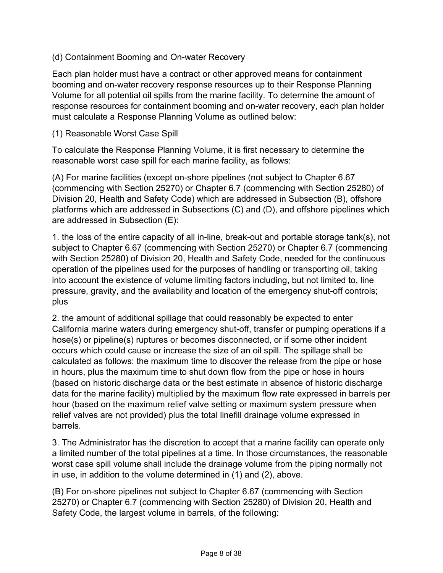### (d) Containment Booming and On-water Recovery

Each plan holder must have a contract or other approved means for containment booming and on-water recovery response resources up to their Response Planning Volume for all potential oil spills from the marine facility. To determine the amount of response resources for containment booming and on-water recovery, each plan holder must calculate a Response Planning Volume as outlined below:

#### (1) Reasonable Worst Case Spill

To calculate the Response Planning Volume, it is first necessary to determine the reasonable worst case spill for each marine facility, as follows:

(A) For marine facilities (except on-shore pipelines (not subject to Chapter 6.67 (commencing with Section 25270) or Chapter 6.7 (commencing with Section 25280) of Division 20, Health and Safety Code) which are addressed in Subsection (B), offshore platforms which are addressed in Subsections (C) and (D), and offshore pipelines which are addressed in Subsection (E):

1. the loss of the entire capacity of all in-line, break-out and portable storage tank(s), not subject to Chapter 6.67 (commencing with Section 25270) or Chapter 6.7 (commencing with Section 25280) of Division 20, Health and Safety Code, needed for the continuous operation of the pipelines used for the purposes of handling or transporting oil, taking into account the existence of volume limiting factors including, but not limited to, line pressure, gravity, and the availability and location of the emergency shut-off controls; plus

2. the amount of additional spillage that could reasonably be expected to enter California marine waters during emergency shut-off, transfer or pumping operations if a hose(s) or pipeline(s) ruptures or becomes disconnected, or if some other incident occurs which could cause or increase the size of an oil spill. The spillage shall be calculated as follows: the maximum time to discover the release from the pipe or hose in hours, plus the maximum time to shut down flow from the pipe or hose in hours (based on historic discharge data or the best estimate in absence of historic discharge data for the marine facility) multiplied by the maximum flow rate expressed in barrels per hour (based on the maximum relief valve setting or maximum system pressure when relief valves are not provided) plus the total linefill drainage volume expressed in barrels.

3. The Administrator has the discretion to accept that a marine facility can operate only a limited number of the total pipelines at a time. In those circumstances, the reasonable worst case spill volume shall include the drainage volume from the piping normally not in use, in addition to the volume determined in (1) and (2), above.

(B) For on-shore pipelines not subject to Chapter 6.67 (commencing with Section 25270) or Chapter 6.7 (commencing with Section 25280) of Division 20, Health and Safety Code, the largest volume in barrels, of the following: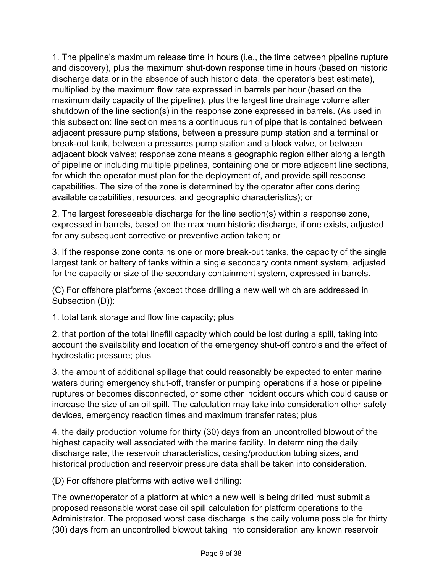1. The pipeline's maximum release time in hours (i.e., the time between pipeline rupture and discovery), plus the maximum shut-down response time in hours (based on historic discharge data or in the absence of such historic data, the operator's best estimate), multiplied by the maximum flow rate expressed in barrels per hour (based on the maximum daily capacity of the pipeline), plus the largest line drainage volume after shutdown of the line section(s) in the response zone expressed in barrels. (As used in this subsection: line section means a continuous run of pipe that is contained between adjacent pressure pump stations, between a pressure pump station and a terminal or break-out tank, between a pressures pump station and a block valve, or between adjacent block valves; response zone means a geographic region either along a length of pipeline or including multiple pipelines, containing one or more adjacent line sections, for which the operator must plan for the deployment of, and provide spill response capabilities. The size of the zone is determined by the operator after considering available capabilities, resources, and geographic characteristics); or

2. The largest foreseeable discharge for the line section(s) within a response zone, expressed in barrels, based on the maximum historic discharge, if one exists, adjusted for any subsequent corrective or preventive action taken; or

3. If the response zone contains one or more break-out tanks, the capacity of the single largest tank or battery of tanks within a single secondary containment system, adjusted for the capacity or size of the secondary containment system, expressed in barrels.

(C) For offshore platforms (except those drilling a new well which are addressed in Subsection (D)):

1. total tank storage and flow line capacity; plus

2. that portion of the total linefill capacity which could be lost during a spill, taking into account the availability and location of the emergency shut-off controls and the effect of hydrostatic pressure; plus

3. the amount of additional spillage that could reasonably be expected to enter marine waters during emergency shut-off, transfer or pumping operations if a hose or pipeline ruptures or becomes disconnected, or some other incident occurs which could cause or increase the size of an oil spill. The calculation may take into consideration other safety devices, emergency reaction times and maximum transfer rates; plus

4. the daily production volume for thirty (30) days from an uncontrolled blowout of the highest capacity well associated with the marine facility. In determining the daily discharge rate, the reservoir characteristics, casing/production tubing sizes, and historical production and reservoir pressure data shall be taken into consideration.

(D) For offshore platforms with active well drilling:

The owner/operator of a platform at which a new well is being drilled must submit a proposed reasonable worst case oil spill calculation for platform operations to the Administrator. The proposed worst case discharge is the daily volume possible for thirty (30) days from an uncontrolled blowout taking into consideration any known reservoir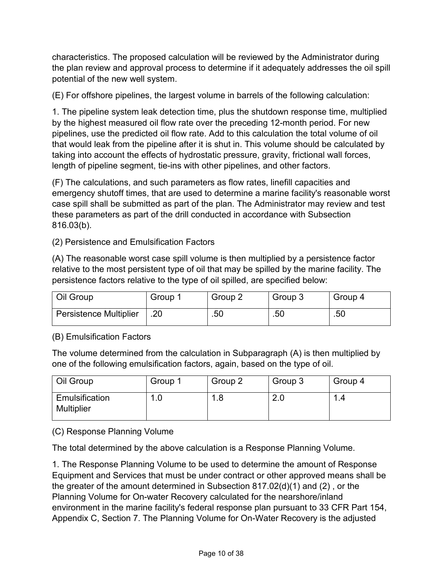characteristics. The proposed calculation will be reviewed by the Administrator during the plan review and approval process to determine if it adequately addresses the oil spill potential of the new well system.

(E) For offshore pipelines, the largest volume in barrels of the following calculation:

1. The pipeline system leak detection time, plus the shutdown response time, multiplied by the highest measured oil flow rate over the preceding 12-month period. For new pipelines, use the predicted oil flow rate. Add to this calculation the total volume of oil that would leak from the pipeline after it is shut in. This volume should be calculated by taking into account the effects of hydrostatic pressure, gravity, frictional wall forces, length of pipeline segment, tie-ins with other pipelines, and other factors.

(F) The calculations, and such parameters as flow rates, linefill capacities and emergency shutoff times, that are used to determine a marine facility's reasonable worst case spill shall be submitted as part of the plan. The Administrator may review and test these parameters as part of the drill conducted in accordance with Subsection 816.03(b).

(2) Persistence and Emulsification Factors

(A) The reasonable worst case spill volume is then multiplied by a persistence factor relative to the most persistent type of oil that may be spilled by the marine facility. The persistence factors relative to the type of oil spilled, are specified below:

| Oil Group                     | Group <sup>2</sup> | Group 2 | Group 3 | Group 4 |
|-------------------------------|--------------------|---------|---------|---------|
| <b>Persistence Multiplier</b> | .20                | .50     | .50     | .50     |

(B) Emulsification Factors

The volume determined from the calculation in Subparagraph (A) is then multiplied by one of the following emulsification factors, again, based on the type of oil.

| Oil Group                           | Group 1 | Group 2 | Group 3 | Group 4 |
|-------------------------------------|---------|---------|---------|---------|
| Emulsification<br><b>Multiplier</b> |         | l.8     | Z.U     |         |

(C) Response Planning Volume

The total determined by the above calculation is a Response Planning Volume.

1. The Response Planning Volume to be used to determine the amount of Response Equipment and Services that must be under contract or other approved means shall be the greater of the amount determined in Subsection 817.02(d)(1) and (2) , or the Planning Volume for On-water Recovery calculated for the nearshore/inland environment in the marine facility's federal response plan pursuant to 33 CFR Part 154, Appendix C, Section 7. The Planning Volume for On-Water Recovery is the adjusted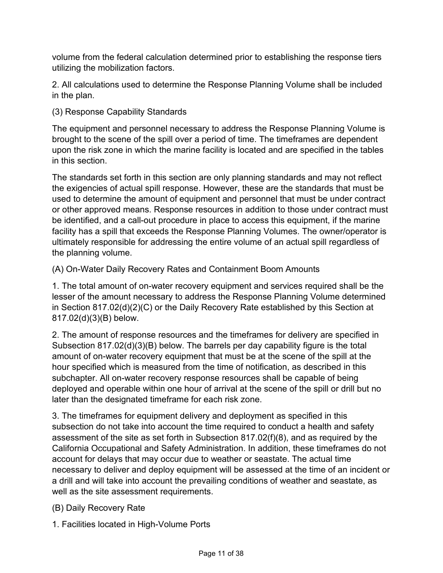volume from the federal calculation determined prior to establishing the response tiers utilizing the mobilization factors.

2. All calculations used to determine the Response Planning Volume shall be included in the plan.

## (3) Response Capability Standards

The equipment and personnel necessary to address the Response Planning Volume is brought to the scene of the spill over a period of time. The timeframes are dependent upon the risk zone in which the marine facility is located and are specified in the tables in this section.

The standards set forth in this section are only planning standards and may not reflect the exigencies of actual spill response. However, these are the standards that must be used to determine the amount of equipment and personnel that must be under contract or other approved means. Response resources in addition to those under contract must be identified, and a call-out procedure in place to access this equipment, if the marine facility has a spill that exceeds the Response Planning Volumes. The owner/operator is ultimately responsible for addressing the entire volume of an actual spill regardless of the planning volume.

(A) On-Water Daily Recovery Rates and Containment Boom Amounts

1. The total amount of on-water recovery equipment and services required shall be the lesser of the amount necessary to address the Response Planning Volume determined in Section 817.02(d)(2)(C) or the Daily Recovery Rate established by this Section at 817.02(d)(3)(B) below.

2. The amount of response resources and the timeframes for delivery are specified in Subsection 817.02(d)(3)(B) below. The barrels per day capability figure is the total amount of on-water recovery equipment that must be at the scene of the spill at the hour specified which is measured from the time of notification, as described in this subchapter. All on-water recovery response resources shall be capable of being deployed and operable within one hour of arrival at the scene of the spill or drill but no later than the designated timeframe for each risk zone.

3. The timeframes for equipment delivery and deployment as specified in this subsection do not take into account the time required to conduct a health and safety assessment of the site as set forth in Subsection 817.02(f)(8), and as required by the California Occupational and Safety Administration. In addition, these timeframes do not account for delays that may occur due to weather or seastate. The actual time necessary to deliver and deploy equipment will be assessed at the time of an incident or a drill and will take into account the prevailing conditions of weather and seastate, as well as the site assessment requirements.

(B) Daily Recovery Rate

1. Facilities located in High-Volume Ports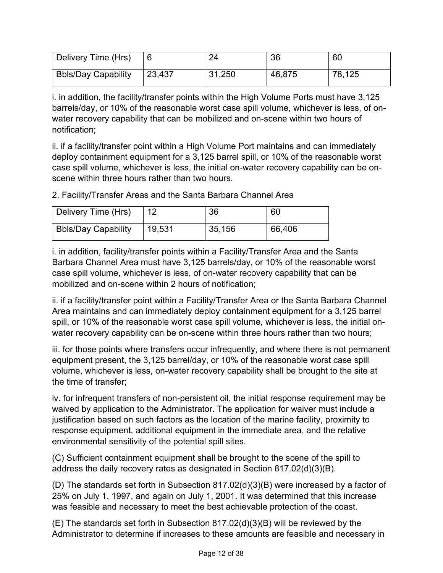| Delivery Time (Hrs)        |        | 24     | 36     | 60     |
|----------------------------|--------|--------|--------|--------|
| <b>Bbls/Day Capability</b> | 23,437 | 31,250 | 46,875 | 78,125 |

i. in addition, the facility/transfer points within the High Volume Ports must have 3,125 barrels/day, or 10% of the reasonable worst case spill volume, whichever is less, of onwater recovery capability that can be mobilized and on-scene within two hours of notification;

ii. if a facility/transfer point within a High Volume Port maintains and can immediately deploy containment equipment for a 3,125 barrel spill, or 10% of the reasonable worst case spill volume, whichever is less, the initial on-water recovery capability can be onscene within three hours rather than two hours.

2. Facility/Transfer Areas and the Santa Barbara Channel Area

| Delivery Time (Hrs)        | 12     | 36     | 60     |
|----------------------------|--------|--------|--------|
| <b>Bbls/Day Capability</b> | 19,531 | 35,156 | 66,406 |

i. in addition, facility/transfer points within a Facility/Transfer Area and the Santa Barbara Channel Area must have 3,125 barrels/day, or 10% of the reasonable worst case spill volume, whichever is less, of on-water recovery capability that can be mobilized and on-scene within 2 hours of notification;

ii. if a facility/transfer point within a Facility/Transfer Area or the Santa Barbara Channel Area maintains and can immediately deploy containment equipment for a 3,125 barrel spill, or 10% of the reasonable worst case spill volume, whichever is less, the initial onwater recovery capability can be on-scene within three hours rather than two hours;

iii. for those points where transfers occur infrequently, and where there is not permanent equipment present, the 3,125 barrel/day, or 10% of the reasonable worst case spill volume, whichever is less, on-water recovery capability shall be brought to the site at the time of transfer;

iv. for infrequent transfers of non-persistent oil, the initial response requirement may be waived by application to the Administrator. The application for waiver must include a justification based on such factors as the location of the marine facility, proximity to response equipment, additional equipment in the immediate area, and the relative environmental sensitivity of the potential spill sites.

(C) Sufficient containment equipment shall be brought to the scene of the spill to address the daily recovery rates as designated in Section 817.02(d)(3)(B).

(D) The standards set forth in Subsection 817.02(d)(3)(B) were increased by a factor of 25% on July 1, 1997, and again on July 1, 2001. It was determined that this increase was feasible and necessary to meet the best achievable protection of the coast.

(E) The standards set forth in Subsection 817.02(d)(3)(B) will be reviewed by the Administrator to determine if increases to these amounts are feasible and necessary in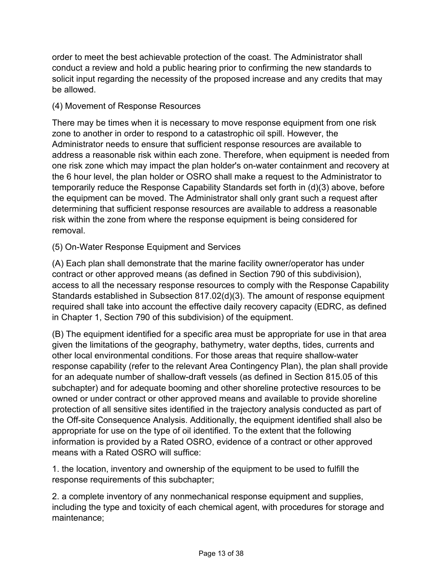order to meet the best achievable protection of the coast. The Administrator shall conduct a review and hold a public hearing prior to confirming the new standards to solicit input regarding the necessity of the proposed increase and any credits that may be allowed.

## (4) Movement of Response Resources

There may be times when it is necessary to move response equipment from one risk zone to another in order to respond to a catastrophic oil spill. However, the Administrator needs to ensure that sufficient response resources are available to address a reasonable risk within each zone. Therefore, when equipment is needed from one risk zone which may impact the plan holder's on-water containment and recovery at the 6 hour level, the plan holder or OSRO shall make a request to the Administrator to temporarily reduce the Response Capability Standards set forth in (d)(3) above, before the equipment can be moved. The Administrator shall only grant such a request after determining that sufficient response resources are available to address a reasonable risk within the zone from where the response equipment is being considered for removal.

# (5) On-Water Response Equipment and Services

(A) Each plan shall demonstrate that the marine facility owner/operator has under contract or other approved means (as defined in Section 790 of this subdivision), access to all the necessary response resources to comply with the Response Capability Standards established in Subsection 817.02(d)(3). The amount of response equipment required shall take into account the effective daily recovery capacity (EDRC, as defined in Chapter 1, Section 790 of this subdivision) of the equipment.

(B) The equipment identified for a specific area must be appropriate for use in that area given the limitations of the geography, bathymetry, water depths, tides, currents and other local environmental conditions. For those areas that require shallow-water response capability (refer to the relevant Area Contingency Plan), the plan shall provide for an adequate number of shallow-draft vessels (as defined in Section 815.05 of this subchapter) and for adequate booming and other shoreline protective resources to be owned or under contract or other approved means and available to provide shoreline protection of all sensitive sites identified in the trajectory analysis conducted as part of the Off-site Consequence Analysis. Additionally, the equipment identified shall also be appropriate for use on the type of oil identified. To the extent that the following information is provided by a Rated OSRO, evidence of a contract or other approved means with a Rated OSRO will suffice:

1. the location, inventory and ownership of the equipment to be used to fulfill the response requirements of this subchapter;

2. a complete inventory of any nonmechanical response equipment and supplies, including the type and toxicity of each chemical agent, with procedures for storage and maintenance;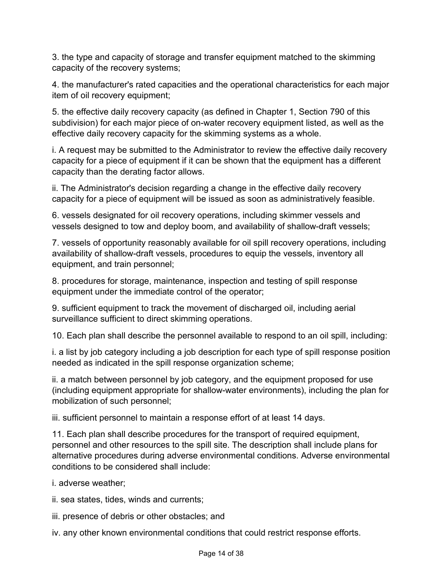3. the type and capacity of storage and transfer equipment matched to the skimming capacity of the recovery systems;

4. the manufacturer's rated capacities and the operational characteristics for each major item of oil recovery equipment;

5. the effective daily recovery capacity (as defined in Chapter 1, Section 790 of this subdivision) for each major piece of on-water recovery equipment listed, as well as the effective daily recovery capacity for the skimming systems as a whole.

i. A request may be submitted to the Administrator to review the effective daily recovery capacity for a piece of equipment if it can be shown that the equipment has a different capacity than the derating factor allows.

ii. The Administrator's decision regarding a change in the effective daily recovery capacity for a piece of equipment will be issued as soon as administratively feasible.

6. vessels designated for oil recovery operations, including skimmer vessels and vessels designed to tow and deploy boom, and availability of shallow-draft vessels;

7. vessels of opportunity reasonably available for oil spill recovery operations, including availability of shallow-draft vessels, procedures to equip the vessels, inventory all equipment, and train personnel;

8. procedures for storage, maintenance, inspection and testing of spill response equipment under the immediate control of the operator;

9. sufficient equipment to track the movement of discharged oil, including aerial surveillance sufficient to direct skimming operations.

10. Each plan shall describe the personnel available to respond to an oil spill, including:

i. a list by job category including a job description for each type of spill response position needed as indicated in the spill response organization scheme;

ii. a match between personnel by job category, and the equipment proposed for use (including equipment appropriate for shallow-water environments), including the plan for mobilization of such personnel;

iii. sufficient personnel to maintain a response effort of at least 14 days.

11. Each plan shall describe procedures for the transport of required equipment, personnel and other resources to the spill site. The description shall include plans for alternative procedures during adverse environmental conditions. Adverse environmental conditions to be considered shall include:

i. adverse weather;

ii. sea states, tides, winds and currents;

iii. presence of debris or other obstacles; and

iv. any other known environmental conditions that could restrict response efforts.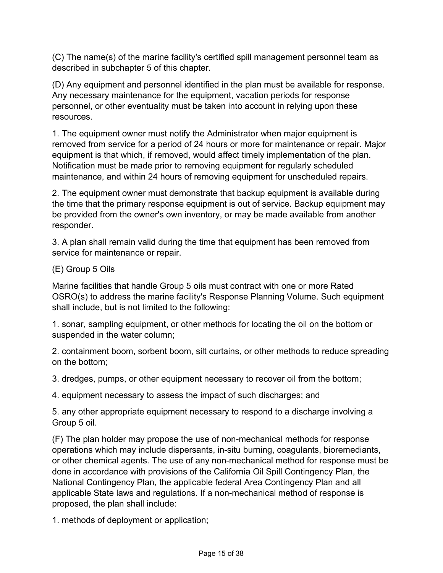(C) The name(s) of the marine facility's certified spill management personnel team as described in subchapter 5 of this chapter.

(D) Any equipment and personnel identified in the plan must be available for response. Any necessary maintenance for the equipment, vacation periods for response personnel, or other eventuality must be taken into account in relying upon these resources.

1. The equipment owner must notify the Administrator when major equipment is removed from service for a period of 24 hours or more for maintenance or repair. Major equipment is that which, if removed, would affect timely implementation of the plan. Notification must be made prior to removing equipment for regularly scheduled maintenance, and within 24 hours of removing equipment for unscheduled repairs.

2. The equipment owner must demonstrate that backup equipment is available during the time that the primary response equipment is out of service. Backup equipment may be provided from the owner's own inventory, or may be made available from another responder.

3. A plan shall remain valid during the time that equipment has been removed from service for maintenance or repair.

(E) Group 5 Oils

Marine facilities that handle Group 5 oils must contract with one or more Rated OSRO(s) to address the marine facility's Response Planning Volume. Such equipment shall include, but is not limited to the following:

1. sonar, sampling equipment, or other methods for locating the oil on the bottom or suspended in the water column;

2. containment boom, sorbent boom, silt curtains, or other methods to reduce spreading on the bottom;

3. dredges, pumps, or other equipment necessary to recover oil from the bottom;

4. equipment necessary to assess the impact of such discharges; and

5. any other appropriate equipment necessary to respond to a discharge involving a Group 5 oil.

(F) The plan holder may propose the use of non-mechanical methods for response operations which may include dispersants, in-situ burning, coagulants, bioremediants, or other chemical agents. The use of any non-mechanical method for response must be done in accordance with provisions of the California Oil Spill Contingency Plan, the National Contingency Plan, the applicable federal Area Contingency Plan and all applicable State laws and regulations. If a non-mechanical method of response is proposed, the plan shall include:

1. methods of deployment or application;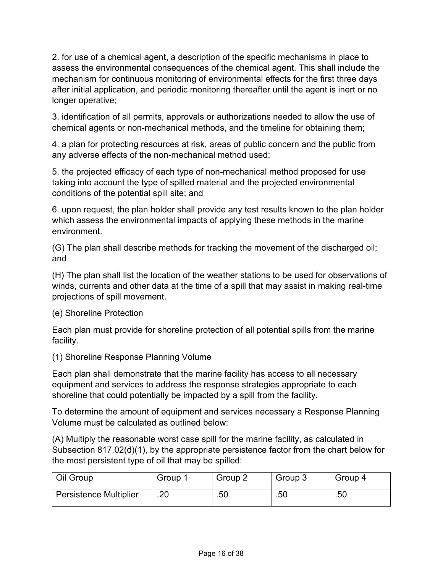2. for use of a chemical agent, a description of the specific mechanisms in place to assess the environmental consequences of the chemical agent. This shall include the mechanism for continuous monitoring of environmental effects for the first three days after initial application, and periodic monitoring thereafter until the agent is inert or no longer operative;

3. identification of all permits, approvals or authorizations needed to allow the use of chemical agents or non-mechanical methods, and the timeline for obtaining them;

4. a plan for protecting resources at risk, areas of public concern and the public from any adverse effects of the non-mechanical method used;

5. the projected efficacy of each type of non-mechanical method proposed for use taking into account the type of spilled material and the projected environmental conditions of the potential spill site; and

6. upon request, the plan holder shall provide any test results known to the plan holder which assess the environmental impacts of applying these methods in the marine environment.

(G) The plan shall describe methods for tracking the movement of the discharged oil; and

(H) The plan shall list the location of the weather stations to be used for observations of winds, currents and other data at the time of a spill that may assist in making real-time projections of spill movement.

(e) Shoreline Protection

Each plan must provide for shoreline protection of all potential spills from the marine facility.

(1) Shoreline Response Planning Volume

Each plan shall demonstrate that the marine facility has access to all necessary equipment and services to address the response strategies appropriate to each shoreline that could potentially be impacted by a spill from the facility.

To determine the amount of equipment and services necessary a Response Planning Volume must be calculated as outlined below:

(A) Multiply the reasonable worst case spill for the marine facility, as calculated in Subsection 817.02(d)(1), by the appropriate persistence factor from the chart below for the most persistent type of oil that may be spilled:

| Oil Group                     | Group 1 | Group 2 | Group 3 | Group 4 |
|-------------------------------|---------|---------|---------|---------|
| <b>Persistence Multiplier</b> | .20     | .50     | .50     | .50     |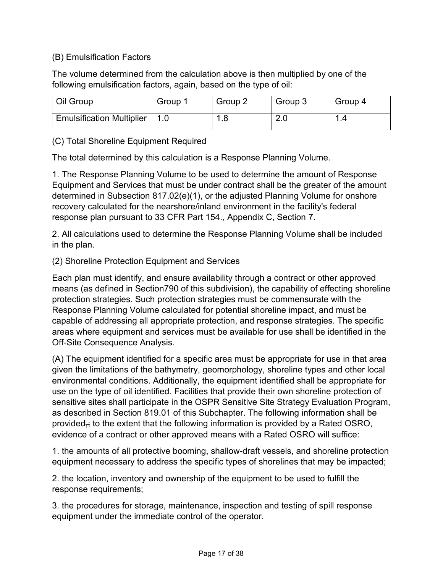## (B) Emulsification Factors

The volume determined from the calculation above is then multiplied by one of the following emulsification factors, again, based on the type of oil:

| Oil Group                        | Group 1 | Group 2 | Group 3 | Group 4 |
|----------------------------------|---------|---------|---------|---------|
| <b>Emulsification Multiplier</b> |         | .8      | 2.0     |         |

(C) Total Shoreline Equipment Required

The total determined by this calculation is a Response Planning Volume.

1. The Response Planning Volume to be used to determine the amount of Response Equipment and Services that must be under contract shall be the greater of the amount determined in Subsection 817.02(e)(1), or the adjusted Planning Volume for onshore recovery calculated for the nearshore/inland environment in the facility's federal response plan pursuant to 33 CFR Part 154., Appendix C, Section 7.

2. All calculations used to determine the Response Planning Volume shall be included in the plan.

(2) Shoreline Protection Equipment and Services

Each plan must identify, and ensure availability through a contract or other approved means (as defined in Section790 of this subdivision), the capability of effecting shoreline protection strategies. Such protection strategies must be commensurate with the Response Planning Volume calculated for potential shoreline impact, and must be capable of addressing all appropriate protection, and response strategies. The specific areas where equipment and services must be available for use shall be identified in the Off-Site Consequence Analysis.

(A) The equipment identified for a specific area must be appropriate for use in that area given the limitations of the bathymetry, geomorphology, shoreline types and other local environmental conditions. Additionally, the equipment identified shall be appropriate for use on the type of oil identified. Facilities that provide their own shoreline protection of sensitive sites shall participate in the OSPR Sensitive Site Strategy Evaluation Program, as described in Section 819.01 of this Subchapter. The following information shall be provided,; to the extent that the following information is provided by a Rated OSRO, evidence of a contract or other approved means with a Rated OSRO will suffice:

1. the amounts of all protective booming, shallow-draft vessels, and shoreline protection equipment necessary to address the specific types of shorelines that may be impacted;

2. the location, inventory and ownership of the equipment to be used to fulfill the response requirements;

3. the procedures for storage, maintenance, inspection and testing of spill response equipment under the immediate control of the operator.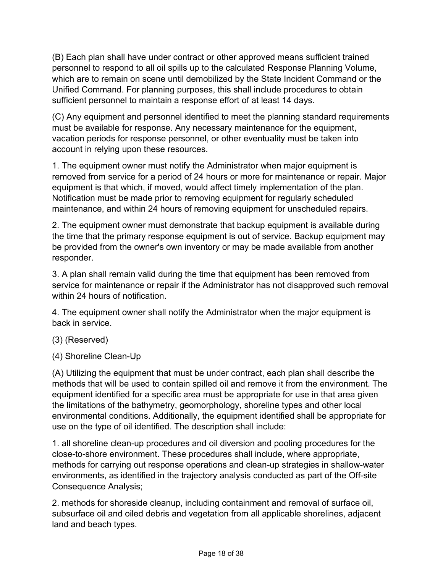(B) Each plan shall have under contract or other approved means sufficient trained personnel to respond to all oil spills up to the calculated Response Planning Volume, which are to remain on scene until demobilized by the State Incident Command or the Unified Command. For planning purposes, this shall include procedures to obtain sufficient personnel to maintain a response effort of at least 14 days.

(C) Any equipment and personnel identified to meet the planning standard requirements must be available for response. Any necessary maintenance for the equipment, vacation periods for response personnel, or other eventuality must be taken into account in relying upon these resources.

1. The equipment owner must notify the Administrator when major equipment is removed from service for a period of 24 hours or more for maintenance or repair. Major equipment is that which, if moved, would affect timely implementation of the plan. Notification must be made prior to removing equipment for regularly scheduled maintenance, and within 24 hours of removing equipment for unscheduled repairs.

2. The equipment owner must demonstrate that backup equipment is available during the time that the primary response equipment is out of service. Backup equipment may be provided from the owner's own inventory or may be made available from another responder.

3. A plan shall remain valid during the time that equipment has been removed from service for maintenance or repair if the Administrator has not disapproved such removal within 24 hours of notification.

4. The equipment owner shall notify the Administrator when the major equipment is back in service.

- (3) (Reserved)
- (4) Shoreline Clean-Up

(A) Utilizing the equipment that must be under contract, each plan shall describe the methods that will be used to contain spilled oil and remove it from the environment. The equipment identified for a specific area must be appropriate for use in that area given the limitations of the bathymetry, geomorphology, shoreline types and other local environmental conditions. Additionally, the equipment identified shall be appropriate for use on the type of oil identified. The description shall include:

1. all shoreline clean-up procedures and oil diversion and pooling procedures for the close-to-shore environment. These procedures shall include, where appropriate, methods for carrying out response operations and clean-up strategies in shallow-water environments, as identified in the trajectory analysis conducted as part of the Off-site Consequence Analysis;

2. methods for shoreside cleanup, including containment and removal of surface oil, subsurface oil and oiled debris and vegetation from all applicable shorelines, adjacent land and beach types.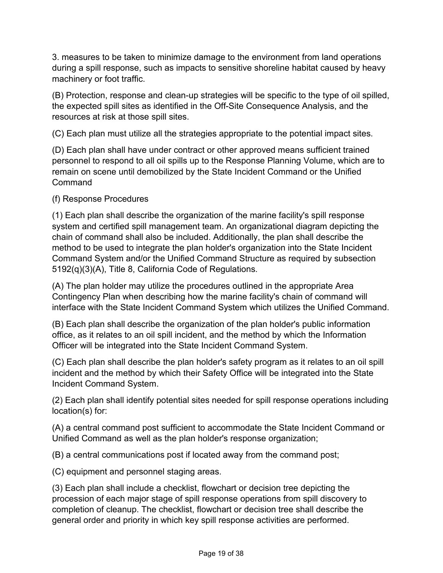3. measures to be taken to minimize damage to the environment from land operations during a spill response, such as impacts to sensitive shoreline habitat caused by heavy machinery or foot traffic.

(B) Protection, response and clean-up strategies will be specific to the type of oil spilled, the expected spill sites as identified in the Off-Site Consequence Analysis, and the resources at risk at those spill sites.

(C) Each plan must utilize all the strategies appropriate to the potential impact sites.

(D) Each plan shall have under contract or other approved means sufficient trained personnel to respond to all oil spills up to the Response Planning Volume, which are to remain on scene until demobilized by the State Incident Command or the Unified Command

(f) Response Procedures

(1) Each plan shall describe the organization of the marine facility's spill response system and certified spill management team. An organizational diagram depicting the chain of command shall also be included. Additionally, the plan shall describe the method to be used to integrate the plan holder's organization into the State Incident Command System and/or the Unified Command Structure as required by subsection 5192(q)(3)(A), Title 8, California Code of Regulations.

(A) The plan holder may utilize the procedures outlined in the appropriate Area Contingency Plan when describing how the marine facility's chain of command will interface with the State Incident Command System which utilizes the Unified Command.

(B) Each plan shall describe the organization of the plan holder's public information office, as it relates to an oil spill incident, and the method by which the Information Officer will be integrated into the State Incident Command System.

(C) Each plan shall describe the plan holder's safety program as it relates to an oil spill incident and the method by which their Safety Office will be integrated into the State Incident Command System.

(2) Each plan shall identify potential sites needed for spill response operations including location(s) for:

(A) a central command post sufficient to accommodate the State Incident Command or Unified Command as well as the plan holder's response organization;

(B) a central communications post if located away from the command post;

(C) equipment and personnel staging areas.

(3) Each plan shall include a checklist, flowchart or decision tree depicting the procession of each major stage of spill response operations from spill discovery to completion of cleanup. The checklist, flowchart or decision tree shall describe the general order and priority in which key spill response activities are performed.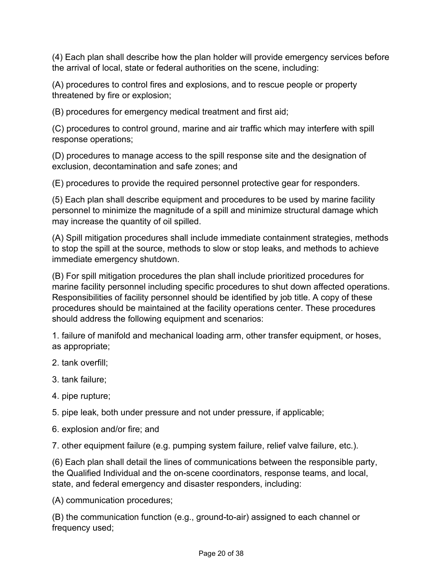(4) Each plan shall describe how the plan holder will provide emergency services before the arrival of local, state or federal authorities on the scene, including:

(A) procedures to control fires and explosions, and to rescue people or property threatened by fire or explosion;

(B) procedures for emergency medical treatment and first aid;

(C) procedures to control ground, marine and air traffic which may interfere with spill response operations;

(D) procedures to manage access to the spill response site and the designation of exclusion, decontamination and safe zones; and

(E) procedures to provide the required personnel protective gear for responders.

(5) Each plan shall describe equipment and procedures to be used by marine facility personnel to minimize the magnitude of a spill and minimize structural damage which may increase the quantity of oil spilled.

(A) Spill mitigation procedures shall include immediate containment strategies, methods to stop the spill at the source, methods to slow or stop leaks, and methods to achieve immediate emergency shutdown.

(B) For spill mitigation procedures the plan shall include prioritized procedures for marine facility personnel including specific procedures to shut down affected operations. Responsibilities of facility personnel should be identified by job title. A copy of these procedures should be maintained at the facility operations center. These procedures should address the following equipment and scenarios:

1. failure of manifold and mechanical loading arm, other transfer equipment, or hoses, as appropriate;

- 2. tank overfill;
- 3. tank failure;
- 4. pipe rupture;

5. pipe leak, both under pressure and not under pressure, if applicable;

6. explosion and/or fire; and

7. other equipment failure (e.g. pumping system failure, relief valve failure, etc.).

(6) Each plan shall detail the lines of communications between the responsible party, the Qualified Individual and the on-scene coordinators, response teams, and local, state, and federal emergency and disaster responders, including:

(A) communication procedures;

(B) the communication function (e.g., ground-to-air) assigned to each channel or frequency used;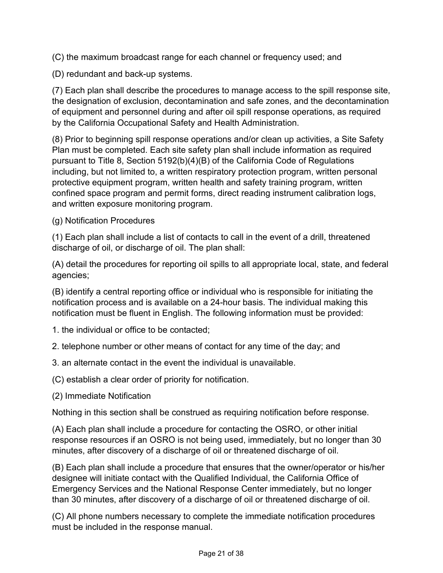(C) the maximum broadcast range for each channel or frequency used; and

(D) redundant and back-up systems.

(7) Each plan shall describe the procedures to manage access to the spill response site, the designation of exclusion, decontamination and safe zones, and the decontamination of equipment and personnel during and after oil spill response operations, as required by the California Occupational Safety and Health Administration.

(8) Prior to beginning spill response operations and/or clean up activities, a Site Safety Plan must be completed. Each site safety plan shall include information as required pursuant to Title 8, Section 5192(b)(4)(B) of the California Code of Regulations including, but not limited to, a written respiratory protection program, written personal protective equipment program, written health and safety training program, written confined space program and permit forms, direct reading instrument calibration logs, and written exposure monitoring program.

(g) Notification Procedures

(1) Each plan shall include a list of contacts to call in the event of a drill, threatened discharge of oil, or discharge of oil. The plan shall:

(A) detail the procedures for reporting oil spills to all appropriate local, state, and federal agencies;

(B) identify a central reporting office or individual who is responsible for initiating the notification process and is available on a 24-hour basis. The individual making this notification must be fluent in English. The following information must be provided:

- 1. the individual or office to be contacted;
- 2. telephone number or other means of contact for any time of the day; and
- 3. an alternate contact in the event the individual is unavailable.

(C) establish a clear order of priority for notification.

(2) Immediate Notification

Nothing in this section shall be construed as requiring notification before response.

(A) Each plan shall include a procedure for contacting the OSRO, or other initial response resources if an OSRO is not being used, immediately, but no longer than 30 minutes, after discovery of a discharge of oil or threatened discharge of oil.

(B) Each plan shall include a procedure that ensures that the owner/operator or his/her designee will initiate contact with the Qualified Individual, the California Office of Emergency Services and the National Response Center immediately, but no longer than 30 minutes, after discovery of a discharge of oil or threatened discharge of oil.

(C) All phone numbers necessary to complete the immediate notification procedures must be included in the response manual.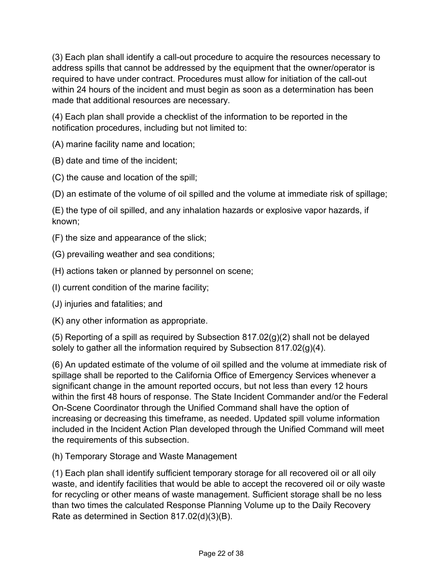(3) Each plan shall identify a call-out procedure to acquire the resources necessary to address spills that cannot be addressed by the equipment that the owner/operator is required to have under contract. Procedures must allow for initiation of the call-out within 24 hours of the incident and must begin as soon as a determination has been made that additional resources are necessary.

(4) Each plan shall provide a checklist of the information to be reported in the notification procedures, including but not limited to:

(A) marine facility name and location;

- (B) date and time of the incident;
- (C) the cause and location of the spill;
- (D) an estimate of the volume of oil spilled and the volume at immediate risk of spillage;

(E) the type of oil spilled, and any inhalation hazards or explosive vapor hazards, if known;

- (F) the size and appearance of the slick;
- (G) prevailing weather and sea conditions;
- (H) actions taken or planned by personnel on scene;
- (I) current condition of the marine facility;
- (J) injuries and fatalities; and
- (K) any other information as appropriate.

(5) Reporting of a spill as required by Subsection 817.02(g)(2) shall not be delayed solely to gather all the information required by Subsection 817.02(g)(4).

(6) An updated estimate of the volume of oil spilled and the volume at immediate risk of spillage shall be reported to the California Office of Emergency Services whenever a significant change in the amount reported occurs, but not less than every 12 hours within the first 48 hours of response. The State Incident Commander and/or the Federal On-Scene Coordinator through the Unified Command shall have the option of increasing or decreasing this timeframe, as needed. Updated spill volume information included in the Incident Action Plan developed through the Unified Command will meet the requirements of this subsection.

(h) Temporary Storage and Waste Management

(1) Each plan shall identify sufficient temporary storage for all recovered oil or all oily waste, and identify facilities that would be able to accept the recovered oil or oily waste for recycling or other means of waste management. Sufficient storage shall be no less than two times the calculated Response Planning Volume up to the Daily Recovery Rate as determined in Section 817.02(d)(3)(B).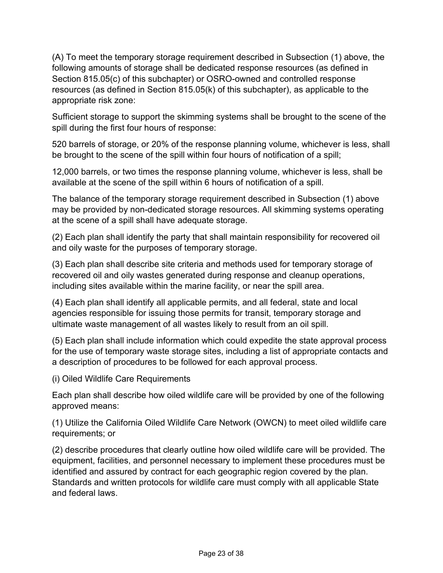(A) To meet the temporary storage requirement described in Subsection (1) above, the following amounts of storage shall be dedicated response resources (as defined in Section 815.05(c) of this subchapter) or OSRO-owned and controlled response resources (as defined in Section 815.05(k) of this subchapter), as applicable to the appropriate risk zone:

Sufficient storage to support the skimming systems shall be brought to the scene of the spill during the first four hours of response:

520 barrels of storage, or 20% of the response planning volume, whichever is less, shall be brought to the scene of the spill within four hours of notification of a spill;

12,000 barrels, or two times the response planning volume, whichever is less, shall be available at the scene of the spill within 6 hours of notification of a spill.

The balance of the temporary storage requirement described in Subsection (1) above may be provided by non-dedicated storage resources. All skimming systems operating at the scene of a spill shall have adequate storage.

(2) Each plan shall identify the party that shall maintain responsibility for recovered oil and oily waste for the purposes of temporary storage.

(3) Each plan shall describe site criteria and methods used for temporary storage of recovered oil and oily wastes generated during response and cleanup operations, including sites available within the marine facility, or near the spill area.

(4) Each plan shall identify all applicable permits, and all federal, state and local agencies responsible for issuing those permits for transit, temporary storage and ultimate waste management of all wastes likely to result from an oil spill.

(5) Each plan shall include information which could expedite the state approval process for the use of temporary waste storage sites, including a list of appropriate contacts and a description of procedures to be followed for each approval process.

(i) Oiled Wildlife Care Requirements

Each plan shall describe how oiled wildlife care will be provided by one of the following approved means:

(1) Utilize the California Oiled Wildlife Care Network (OWCN) to meet oiled wildlife care requirements; or

(2) describe procedures that clearly outline how oiled wildlife care will be provided. The equipment, facilities, and personnel necessary to implement these procedures must be identified and assured by contract for each geographic region covered by the plan. Standards and written protocols for wildlife care must comply with all applicable State and federal laws.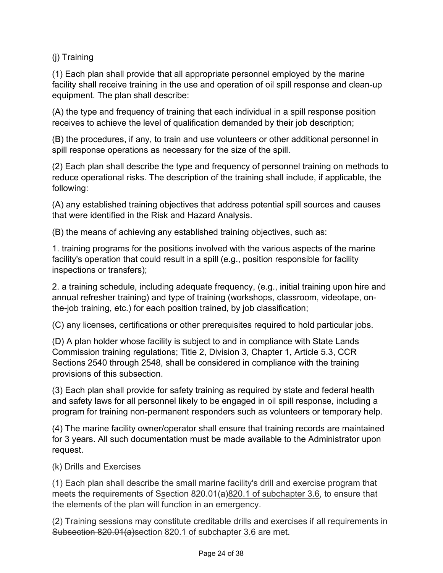(j) Training

(1) Each plan shall provide that all appropriate personnel employed by the marine facility shall receive training in the use and operation of oil spill response and clean-up equipment. The plan shall describe:

(A) the type and frequency of training that each individual in a spill response position receives to achieve the level of qualification demanded by their job description;

(B) the procedures, if any, to train and use volunteers or other additional personnel in spill response operations as necessary for the size of the spill.

(2) Each plan shall describe the type and frequency of personnel training on methods to reduce operational risks. The description of the training shall include, if applicable, the following:

(A) any established training objectives that address potential spill sources and causes that were identified in the Risk and Hazard Analysis.

(B) the means of achieving any established training objectives, such as:

1. training programs for the positions involved with the various aspects of the marine facility's operation that could result in a spill (e.g., position responsible for facility inspections or transfers);

2. a training schedule, including adequate frequency, (e.g., initial training upon hire and annual refresher training) and type of training (workshops, classroom, videotape, onthe-job training, etc.) for each position trained, by job classification;

(C) any licenses, certifications or other prerequisites required to hold particular jobs.

(D) A plan holder whose facility is subject to and in compliance with State Lands Commission training regulations; Title 2, Division 3, Chapter 1, Article 5.3, CCR Sections 2540 through 2548, shall be considered in compliance with the training provisions of this subsection.

(3) Each plan shall provide for safety training as required by state and federal health and safety laws for all personnel likely to be engaged in oil spill response, including a program for training non-permanent responders such as volunteers or temporary help.

(4) The marine facility owner/operator shall ensure that training records are maintained for 3 years. All such documentation must be made available to the Administrator upon request.

(k) Drills and Exercises

(1) Each plan shall describe the small marine facility's drill and exercise program that meets the requirements of Ssection 820.01(a)820.1 of subchapter 3.6, to ensure that the elements of the plan will function in an emergency.

(2) Training sessions may constitute creditable drills and exercises if all requirements in Subsection 820.01(a)section 820.1 of subchapter 3.6 are met.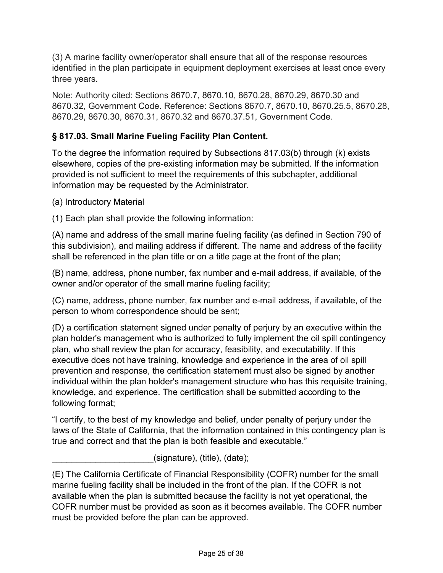(3) A marine facility owner/operator shall ensure that all of the response resources identified in the plan participate in equipment deployment exercises at least once every three years.

Note: Authority cited: Sections 8670.7, 8670.10, 8670.28, 8670.29, 8670.30 and 8670.32, Government Code. Reference: Sections 8670.7, 8670.10, 8670.25.5, 8670.28, 8670.29, 8670.30, 8670.31, 8670.32 and 8670.37.51, Government Code.

# **§ 817.03. Small Marine Fueling Facility Plan Content.**

To the degree the information required by Subsections 817.03(b) through (k) exists elsewhere, copies of the pre-existing information may be submitted. If the information provided is not sufficient to meet the requirements of this subchapter, additional information may be requested by the Administrator.

(a) Introductory Material

(1) Each plan shall provide the following information:

(A) name and address of the small marine fueling facility (as defined in Section 790 of this subdivision), and mailing address if different. The name and address of the facility shall be referenced in the plan title or on a title page at the front of the plan;

(B) name, address, phone number, fax number and e-mail address, if available, of the owner and/or operator of the small marine fueling facility;

(C) name, address, phone number, fax number and e-mail address, if available, of the person to whom correspondence should be sent;

(D) a certification statement signed under penalty of perjury by an executive within the plan holder's management who is authorized to fully implement the oil spill contingency plan, who shall review the plan for accuracy, feasibility, and executability. If this executive does not have training, knowledge and experience in the area of oil spill prevention and response, the certification statement must also be signed by another individual within the plan holder's management structure who has this requisite training, knowledge, and experience. The certification shall be submitted according to the following format;

"I certify, to the best of my knowledge and belief, under penalty of perjury under the laws of the State of California, that the information contained in this contingency plan is true and correct and that the plan is both feasible and executable."

 $(s$ ignature),  $(t$ itle),  $(date)$ ;

<sup>(</sup>E) The California Certificate of Financial Responsibility (COFR) number for the small marine fueling facility shall be included in the front of the plan. If the COFR is not available when the plan is submitted because the facility is not yet operational, the COFR number must be provided as soon as it becomes available. The COFR number must be provided before the plan can be approved.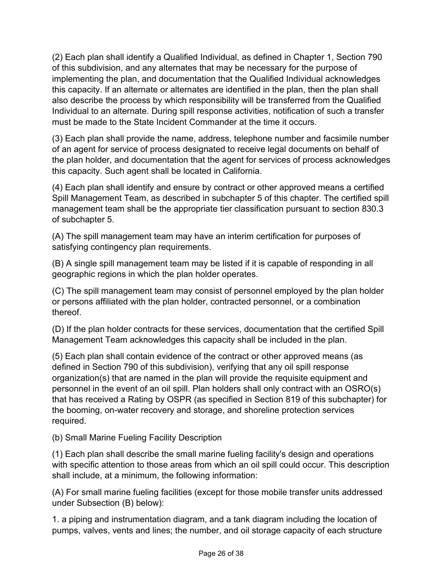(2) Each plan shall identify a Qualified Individual, as defined in Chapter 1, Section 790 of this subdivision, and any alternates that may be necessary for the purpose of implementing the plan, and documentation that the Qualified Individual acknowledges this capacity. If an alternate or alternates are identified in the plan, then the plan shall also describe the process by which responsibility will be transferred from the Qualified Individual to an alternate. During spill response activities, notification of such a transfer must be made to the State Incident Commander at the time it occurs.

(3) Each plan shall provide the name, address, telephone number and facsimile number of an agent for service of process designated to receive legal documents on behalf of the plan holder, and documentation that the agent for services of process acknowledges this capacity. Such agent shall be located in California.

(4) Each plan shall identify and ensure by contract or other approved means a certified Spill Management Team, as described in subchapter 5 of this chapter. The certified spill management team shall be the appropriate tier classification pursuant to section 830.3 of subchapter 5.

(A) The spill management team may have an interim certification for purposes of satisfying contingency plan requirements.

(B) A single spill management team may be listed if it is capable of responding in all geographic regions in which the plan holder operates.

(C) The spill management team may consist of personnel employed by the plan holder or persons affiliated with the plan holder, contracted personnel, or a combination thereof.

(D) If the plan holder contracts for these services, documentation that the certified Spill Management Team acknowledges this capacity shall be included in the plan.

(5) Each plan shall contain evidence of the contract or other approved means (as defined in Section 790 of this subdivision), verifying that any oil spill response organization(s) that are named in the plan will provide the requisite equipment and personnel in the event of an oil spill. Plan holders shall only contract with an OSRO(s) that has received a Rating by OSPR (as specified in Section 819 of this subchapter) for the booming, on-water recovery and storage, and shoreline protection services required.

(b) Small Marine Fueling Facility Description

(1) Each plan shall describe the small marine fueling facility's design and operations with specific attention to those areas from which an oil spill could occur. This description shall include, at a minimum, the following information:

(A) For small marine fueling facilities (except for those mobile transfer units addressed under Subsection (B) below):

1. a piping and instrumentation diagram, and a tank diagram including the location of pumps, valves, vents and lines; the number, and oil storage capacity of each structure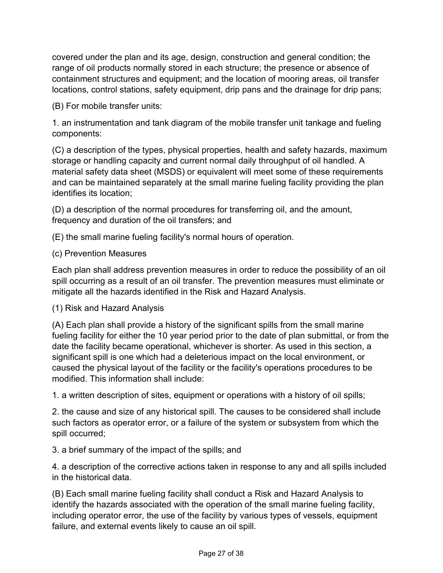covered under the plan and its age, design, construction and general condition; the range of oil products normally stored in each structure; the presence or absence of containment structures and equipment; and the location of mooring areas, oil transfer locations, control stations, safety equipment, drip pans and the drainage for drip pans;

(B) For mobile transfer units:

1. an instrumentation and tank diagram of the mobile transfer unit tankage and fueling components:

(C) a description of the types, physical properties, health and safety hazards, maximum storage or handling capacity and current normal daily throughput of oil handled. A material safety data sheet (MSDS) or equivalent will meet some of these requirements and can be maintained separately at the small marine fueling facility providing the plan identifies its location;

(D) a description of the normal procedures for transferring oil, and the amount, frequency and duration of the oil transfers; and

(E) the small marine fueling facility's normal hours of operation.

#### (c) Prevention Measures

Each plan shall address prevention measures in order to reduce the possibility of an oil spill occurring as a result of an oil transfer. The prevention measures must eliminate or mitigate all the hazards identified in the Risk and Hazard Analysis.

#### (1) Risk and Hazard Analysis

(A) Each plan shall provide a history of the significant spills from the small marine fueling facility for either the 10 year period prior to the date of plan submittal, or from the date the facility became operational, whichever is shorter. As used in this section, a significant spill is one which had a deleterious impact on the local environment, or caused the physical layout of the facility or the facility's operations procedures to be modified. This information shall include:

1. a written description of sites, equipment or operations with a history of oil spills;

2. the cause and size of any historical spill. The causes to be considered shall include such factors as operator error, or a failure of the system or subsystem from which the spill occurred;

3. a brief summary of the impact of the spills; and

4. a description of the corrective actions taken in response to any and all spills included in the historical data.

(B) Each small marine fueling facility shall conduct a Risk and Hazard Analysis to identify the hazards associated with the operation of the small marine fueling facility, including operator error, the use of the facility by various types of vessels, equipment failure, and external events likely to cause an oil spill.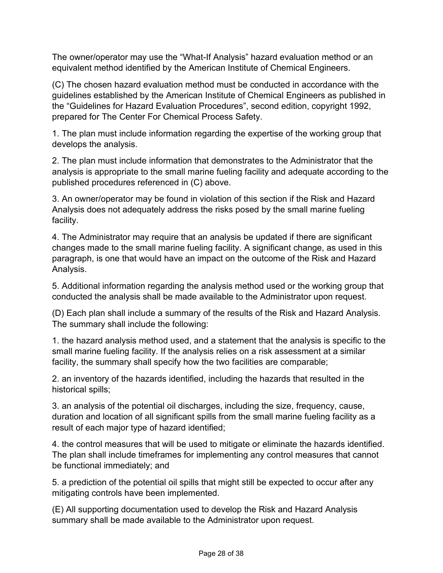The owner/operator may use the "What-If Analysis" hazard evaluation method or an equivalent method identified by the American Institute of Chemical Engineers.

(C) The chosen hazard evaluation method must be conducted in accordance with the guidelines established by the American Institute of Chemical Engineers as published in the "Guidelines for Hazard Evaluation Procedures", second edition, copyright 1992, prepared for The Center For Chemical Process Safety.

1. The plan must include information regarding the expertise of the working group that develops the analysis.

2. The plan must include information that demonstrates to the Administrator that the analysis is appropriate to the small marine fueling facility and adequate according to the published procedures referenced in (C) above.

3. An owner/operator may be found in violation of this section if the Risk and Hazard Analysis does not adequately address the risks posed by the small marine fueling facility.

4. The Administrator may require that an analysis be updated if there are significant changes made to the small marine fueling facility. A significant change, as used in this paragraph, is one that would have an impact on the outcome of the Risk and Hazard Analysis.

5. Additional information regarding the analysis method used or the working group that conducted the analysis shall be made available to the Administrator upon request.

(D) Each plan shall include a summary of the results of the Risk and Hazard Analysis. The summary shall include the following:

1. the hazard analysis method used, and a statement that the analysis is specific to the small marine fueling facility. If the analysis relies on a risk assessment at a similar facility, the summary shall specify how the two facilities are comparable;

2. an inventory of the hazards identified, including the hazards that resulted in the historical spills;

3. an analysis of the potential oil discharges, including the size, frequency, cause, duration and location of all significant spills from the small marine fueling facility as a result of each major type of hazard identified;

4. the control measures that will be used to mitigate or eliminate the hazards identified. The plan shall include timeframes for implementing any control measures that cannot be functional immediately; and

5. a prediction of the potential oil spills that might still be expected to occur after any mitigating controls have been implemented.

(E) All supporting documentation used to develop the Risk and Hazard Analysis summary shall be made available to the Administrator upon request.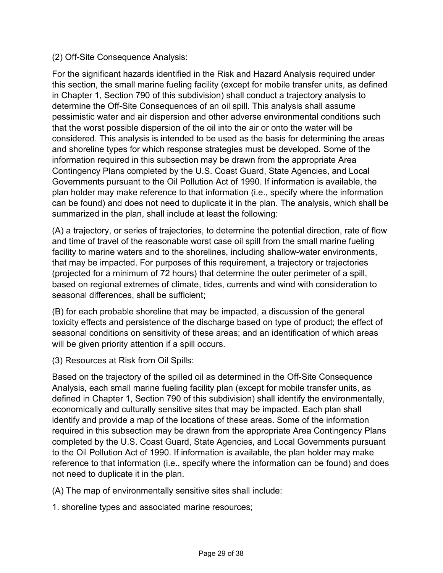#### (2) Off-Site Consequence Analysis:

For the significant hazards identified in the Risk and Hazard Analysis required under this section, the small marine fueling facility (except for mobile transfer units, as defined in Chapter 1, Section 790 of this subdivision) shall conduct a trajectory analysis to determine the Off-Site Consequences of an oil spill. This analysis shall assume pessimistic water and air dispersion and other adverse environmental conditions such that the worst possible dispersion of the oil into the air or onto the water will be considered. This analysis is intended to be used as the basis for determining the areas and shoreline types for which response strategies must be developed. Some of the information required in this subsection may be drawn from the appropriate Area Contingency Plans completed by the U.S. Coast Guard, State Agencies, and Local Governments pursuant to the Oil Pollution Act of 1990. If information is available, the plan holder may make reference to that information (i.e., specify where the information can be found) and does not need to duplicate it in the plan. The analysis, which shall be summarized in the plan, shall include at least the following:

(A) a trajectory, or series of trajectories, to determine the potential direction, rate of flow and time of travel of the reasonable worst case oil spill from the small marine fueling facility to marine waters and to the shorelines, including shallow-water environments, that may be impacted. For purposes of this requirement, a trajectory or trajectories (projected for a minimum of 72 hours) that determine the outer perimeter of a spill, based on regional extremes of climate, tides, currents and wind with consideration to seasonal differences, shall be sufficient;

(B) for each probable shoreline that may be impacted, a discussion of the general toxicity effects and persistence of the discharge based on type of product; the effect of seasonal conditions on sensitivity of these areas; and an identification of which areas will be given priority attention if a spill occurs.

(3) Resources at Risk from Oil Spills:

Based on the trajectory of the spilled oil as determined in the Off-Site Consequence Analysis, each small marine fueling facility plan (except for mobile transfer units, as defined in Chapter 1, Section 790 of this subdivision) shall identify the environmentally, economically and culturally sensitive sites that may be impacted. Each plan shall identify and provide a map of the locations of these areas. Some of the information required in this subsection may be drawn from the appropriate Area Contingency Plans completed by the U.S. Coast Guard, State Agencies, and Local Governments pursuant to the Oil Pollution Act of 1990. If information is available, the plan holder may make reference to that information (i.e., specify where the information can be found) and does not need to duplicate it in the plan.

(A) The map of environmentally sensitive sites shall include:

1. shoreline types and associated marine resources;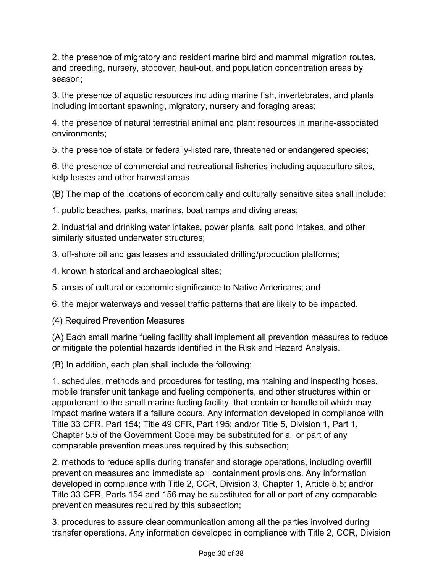2. the presence of migratory and resident marine bird and mammal migration routes, and breeding, nursery, stopover, haul-out, and population concentration areas by season;

3. the presence of aquatic resources including marine fish, invertebrates, and plants including important spawning, migratory, nursery and foraging areas;

4. the presence of natural terrestrial animal and plant resources in marine-associated environments;

5. the presence of state or federally-listed rare, threatened or endangered species;

6. the presence of commercial and recreational fisheries including aquaculture sites, kelp leases and other harvest areas.

(B) The map of the locations of economically and culturally sensitive sites shall include:

1. public beaches, parks, marinas, boat ramps and diving areas;

2. industrial and drinking water intakes, power plants, salt pond intakes, and other similarly situated underwater structures;

3. off-shore oil and gas leases and associated drilling/production platforms;

4. known historical and archaeological sites;

5. areas of cultural or economic significance to Native Americans; and

6. the major waterways and vessel traffic patterns that are likely to be impacted.

(4) Required Prevention Measures

(A) Each small marine fueling facility shall implement all prevention measures to reduce or mitigate the potential hazards identified in the Risk and Hazard Analysis.

(B) In addition, each plan shall include the following:

1. schedules, methods and procedures for testing, maintaining and inspecting hoses, mobile transfer unit tankage and fueling components, and other structures within or appurtenant to the small marine fueling facility, that contain or handle oil which may impact marine waters if a failure occurs. Any information developed in compliance with Title 33 CFR, Part 154; Title 49 CFR, Part 195; and/or Title 5, Division 1, Part 1, Chapter 5.5 of the Government Code may be substituted for all or part of any comparable prevention measures required by this subsection;

2. methods to reduce spills during transfer and storage operations, including overfill prevention measures and immediate spill containment provisions. Any information developed in compliance with Title 2, CCR, Division 3, Chapter 1, Article 5.5; and/or Title 33 CFR, Parts 154 and 156 may be substituted for all or part of any comparable prevention measures required by this subsection;

3. procedures to assure clear communication among all the parties involved during transfer operations. Any information developed in compliance with Title 2, CCR, Division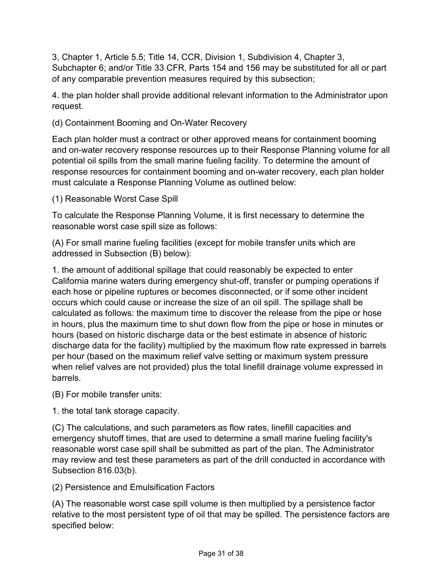3, Chapter 1, Article 5.5; Title 14, CCR, Division 1, Subdivision 4, Chapter 3, Subchapter 6; and/or Title 33 CFR, Parts 154 and 156 may be substituted for all or part of any comparable prevention measures required by this subsection;

4. the plan holder shall provide additional relevant information to the Administrator upon request.

(d) Containment Booming and On-Water Recovery

Each plan holder must a contract or other approved means for containment booming and on-water recovery response resources up to their Response Planning volume for all potential oil spills from the small marine fueling facility. To determine the amount of response resources for containment booming and on-water recovery, each plan holder must calculate a Response Planning Volume as outlined below:

(1) Reasonable Worst Case Spill

To calculate the Response Planning Volume, it is first necessary to determine the reasonable worst case spill size as follows:

(A) For small marine fueling facilities (except for mobile transfer units which are addressed in Subsection (B) below):

1. the amount of additional spillage that could reasonably be expected to enter California marine waters during emergency shut-off, transfer or pumping operations if each hose or pipeline ruptures or becomes disconnected, or if some other incident occurs which could cause or increase the size of an oil spill. The spillage shall be calculated as follows: the maximum time to discover the release from the pipe or hose in hours, plus the maximum time to shut down flow from the pipe or hose in minutes or hours (based on historic discharge data or the best estimate in absence of historic discharge data for the facility) multiplied by the maximum flow rate expressed in barrels per hour (based on the maximum relief valve setting or maximum system pressure when relief valves are not provided) plus the total linefill drainage volume expressed in barrels.

(B) For mobile transfer units:

1. the total tank storage capacity.

(C) The calculations, and such parameters as flow rates, linefill capacities and emergency shutoff times, that are used to determine a small marine fueling facility's reasonable worst case spill shall be submitted as part of the plan. The Administrator may review and test these parameters as part of the drill conducted in accordance with Subsection 816.03(b).

(2) Persistence and Emulsification Factors

(A) The reasonable worst case spill volume is then multiplied by a persistence factor relative to the most persistent type of oil that may be spilled. The persistence factors are specified below: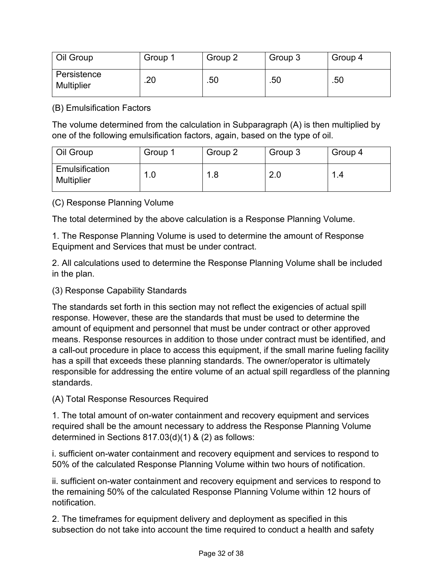| Oil Group                 | Group 1 | Group 2 | Group 3 | Group 4 |
|---------------------------|---------|---------|---------|---------|
| Persistence<br>Multiplier | .20     | .50     | .50     | .50     |

(B) Emulsification Factors

The volume determined from the calculation in Subparagraph (A) is then multiplied by one of the following emulsification factors, again, based on the type of oil.

| Oil Group                           | Group 1  | Group 2 | Group 3 | Group 4                        |
|-------------------------------------|----------|---------|---------|--------------------------------|
| Emulsification<br><b>Multiplier</b> | l.O<br>и | 1.8     | 2.0     | $\overline{\mathbf{A}}$<br>1.4 |

(C) Response Planning Volume

The total determined by the above calculation is a Response Planning Volume.

1. The Response Planning Volume is used to determine the amount of Response Equipment and Services that must be under contract.

2. All calculations used to determine the Response Planning Volume shall be included in the plan.

## (3) Response Capability Standards

The standards set forth in this section may not reflect the exigencies of actual spill response. However, these are the standards that must be used to determine the amount of equipment and personnel that must be under contract or other approved means. Response resources in addition to those under contract must be identified, and a call-out procedure in place to access this equipment, if the small marine fueling facility has a spill that exceeds these planning standards. The owner/operator is ultimately responsible for addressing the entire volume of an actual spill regardless of the planning standards.

(A) Total Response Resources Required

1. The total amount of on-water containment and recovery equipment and services required shall be the amount necessary to address the Response Planning Volume determined in Sections 817.03(d)(1) & (2) as follows:

i. sufficient on-water containment and recovery equipment and services to respond to 50% of the calculated Response Planning Volume within two hours of notification.

ii. sufficient on-water containment and recovery equipment and services to respond to the remaining 50% of the calculated Response Planning Volume within 12 hours of notification.

2. The timeframes for equipment delivery and deployment as specified in this subsection do not take into account the time required to conduct a health and safety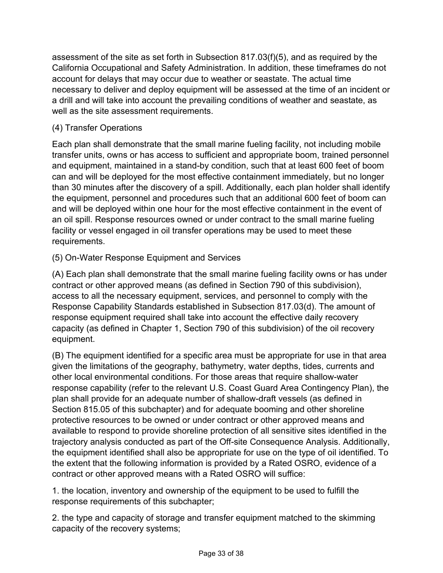assessment of the site as set forth in Subsection 817.03(f)(5), and as required by the California Occupational and Safety Administration. In addition, these timeframes do not account for delays that may occur due to weather or seastate. The actual time necessary to deliver and deploy equipment will be assessed at the time of an incident or a drill and will take into account the prevailing conditions of weather and seastate, as well as the site assessment requirements.

# (4) Transfer Operations

Each plan shall demonstrate that the small marine fueling facility, not including mobile transfer units, owns or has access to sufficient and appropriate boom, trained personnel and equipment, maintained in a stand-by condition, such that at least 600 feet of boom can and will be deployed for the most effective containment immediately, but no longer than 30 minutes after the discovery of a spill. Additionally, each plan holder shall identify the equipment, personnel and procedures such that an additional 600 feet of boom can and will be deployed within one hour for the most effective containment in the event of an oil spill. Response resources owned or under contract to the small marine fueling facility or vessel engaged in oil transfer operations may be used to meet these requirements.

## (5) On-Water Response Equipment and Services

(A) Each plan shall demonstrate that the small marine fueling facility owns or has under contract or other approved means (as defined in Section 790 of this subdivision), access to all the necessary equipment, services, and personnel to comply with the Response Capability Standards established in Subsection 817.03(d). The amount of response equipment required shall take into account the effective daily recovery capacity (as defined in Chapter 1, Section 790 of this subdivision) of the oil recovery equipment.

(B) The equipment identified for a specific area must be appropriate for use in that area given the limitations of the geography, bathymetry, water depths, tides, currents and other local environmental conditions. For those areas that require shallow-water response capability (refer to the relevant U.S. Coast Guard Area Contingency Plan), the plan shall provide for an adequate number of shallow-draft vessels (as defined in Section 815.05 of this subchapter) and for adequate booming and other shoreline protective resources to be owned or under contract or other approved means and available to respond to provide shoreline protection of all sensitive sites identified in the trajectory analysis conducted as part of the Off-site Consequence Analysis. Additionally, the equipment identified shall also be appropriate for use on the type of oil identified. To the extent that the following information is provided by a Rated OSRO, evidence of a contract or other approved means with a Rated OSRO will suffice:

1. the location, inventory and ownership of the equipment to be used to fulfill the response requirements of this subchapter;

2. the type and capacity of storage and transfer equipment matched to the skimming capacity of the recovery systems;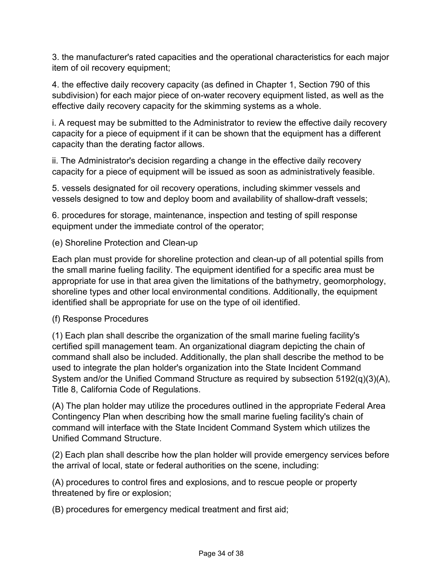3. the manufacturer's rated capacities and the operational characteristics for each major item of oil recovery equipment;

4. the effective daily recovery capacity (as defined in Chapter 1, Section 790 of this subdivision) for each major piece of on-water recovery equipment listed, as well as the effective daily recovery capacity for the skimming systems as a whole.

i. A request may be submitted to the Administrator to review the effective daily recovery capacity for a piece of equipment if it can be shown that the equipment has a different capacity than the derating factor allows.

ii. The Administrator's decision regarding a change in the effective daily recovery capacity for a piece of equipment will be issued as soon as administratively feasible.

5. vessels designated for oil recovery operations, including skimmer vessels and vessels designed to tow and deploy boom and availability of shallow-draft vessels;

6. procedures for storage, maintenance, inspection and testing of spill response equipment under the immediate control of the operator;

(e) Shoreline Protection and Clean-up

Each plan must provide for shoreline protection and clean-up of all potential spills from the small marine fueling facility. The equipment identified for a specific area must be appropriate for use in that area given the limitations of the bathymetry, geomorphology, shoreline types and other local environmental conditions. Additionally, the equipment identified shall be appropriate for use on the type of oil identified.

#### (f) Response Procedures

(1) Each plan shall describe the organization of the small marine fueling facility's certified spill management team. An organizational diagram depicting the chain of command shall also be included. Additionally, the plan shall describe the method to be used to integrate the plan holder's organization into the State Incident Command System and/or the Unified Command Structure as required by subsection 5192(q)(3)(A), Title 8, California Code of Regulations.

(A) The plan holder may utilize the procedures outlined in the appropriate Federal Area Contingency Plan when describing how the small marine fueling facility's chain of command will interface with the State Incident Command System which utilizes the Unified Command Structure.

(2) Each plan shall describe how the plan holder will provide emergency services before the arrival of local, state or federal authorities on the scene, including:

(A) procedures to control fires and explosions, and to rescue people or property threatened by fire or explosion;

(B) procedures for emergency medical treatment and first aid;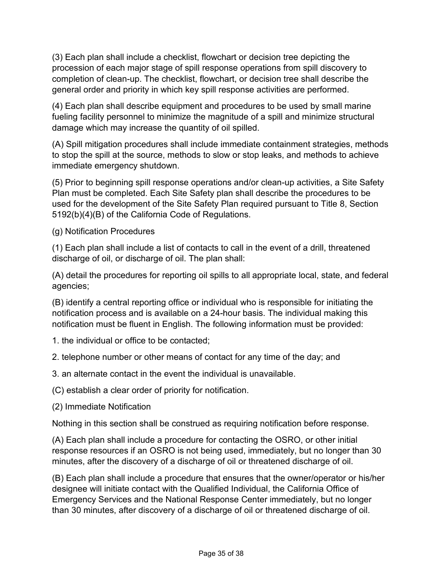(3) Each plan shall include a checklist, flowchart or decision tree depicting the procession of each major stage of spill response operations from spill discovery to completion of clean-up. The checklist, flowchart, or decision tree shall describe the general order and priority in which key spill response activities are performed.

(4) Each plan shall describe equipment and procedures to be used by small marine fueling facility personnel to minimize the magnitude of a spill and minimize structural damage which may increase the quantity of oil spilled.

(A) Spill mitigation procedures shall include immediate containment strategies, methods to stop the spill at the source, methods to slow or stop leaks, and methods to achieve immediate emergency shutdown.

(5) Prior to beginning spill response operations and/or clean-up activities, a Site Safety Plan must be completed. Each Site Safety plan shall describe the procedures to be used for the development of the Site Safety Plan required pursuant to Title 8, Section 5192(b)(4)(B) of the California Code of Regulations.

(g) Notification Procedures

(1) Each plan shall include a list of contacts to call in the event of a drill, threatened discharge of oil, or discharge of oil. The plan shall:

(A) detail the procedures for reporting oil spills to all appropriate local, state, and federal agencies;

(B) identify a central reporting office or individual who is responsible for initiating the notification process and is available on a 24-hour basis. The individual making this notification must be fluent in English. The following information must be provided:

1. the individual or office to be contacted;

2. telephone number or other means of contact for any time of the day; and

3. an alternate contact in the event the individual is unavailable.

(C) establish a clear order of priority for notification.

(2) Immediate Notification

Nothing in this section shall be construed as requiring notification before response.

(A) Each plan shall include a procedure for contacting the OSRO, or other initial response resources if an OSRO is not being used, immediately, but no longer than 30 minutes, after the discovery of a discharge of oil or threatened discharge of oil.

(B) Each plan shall include a procedure that ensures that the owner/operator or his/her designee will initiate contact with the Qualified Individual, the California Office of Emergency Services and the National Response Center immediately, but no longer than 30 minutes, after discovery of a discharge of oil or threatened discharge of oil.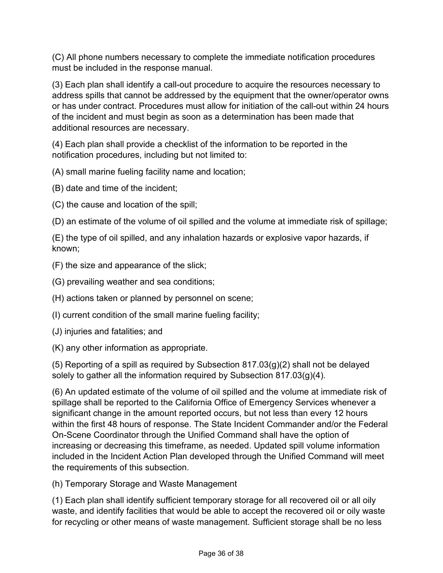(C) All phone numbers necessary to complete the immediate notification procedures must be included in the response manual.

(3) Each plan shall identify a call-out procedure to acquire the resources necessary to address spills that cannot be addressed by the equipment that the owner/operator owns or has under contract. Procedures must allow for initiation of the call-out within 24 hours of the incident and must begin as soon as a determination has been made that additional resources are necessary.

(4) Each plan shall provide a checklist of the information to be reported in the notification procedures, including but not limited to:

(A) small marine fueling facility name and location;

(B) date and time of the incident;

(C) the cause and location of the spill;

(D) an estimate of the volume of oil spilled and the volume at immediate risk of spillage;

(E) the type of oil spilled, and any inhalation hazards or explosive vapor hazards, if known;

(F) the size and appearance of the slick;

(G) prevailing weather and sea conditions;

(H) actions taken or planned by personnel on scene;

(I) current condition of the small marine fueling facility;

(J) injuries and fatalities; and

(K) any other information as appropriate.

(5) Reporting of a spill as required by Subsection  $817.03(g)(2)$  shall not be delayed solely to gather all the information required by Subsection 817.03(g)(4).

(6) An updated estimate of the volume of oil spilled and the volume at immediate risk of spillage shall be reported to the California Office of Emergency Services whenever a significant change in the amount reported occurs, but not less than every 12 hours within the first 48 hours of response. The State Incident Commander and/or the Federal On-Scene Coordinator through the Unified Command shall have the option of increasing or decreasing this timeframe, as needed. Updated spill volume information included in the Incident Action Plan developed through the Unified Command will meet the requirements of this subsection.

(h) Temporary Storage and Waste Management

(1) Each plan shall identify sufficient temporary storage for all recovered oil or all oily waste, and identify facilities that would be able to accept the recovered oil or oily waste for recycling or other means of waste management. Sufficient storage shall be no less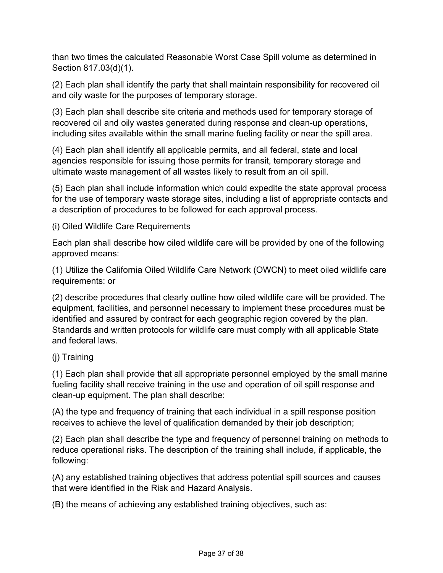than two times the calculated Reasonable Worst Case Spill volume as determined in Section 817.03(d)(1).

(2) Each plan shall identify the party that shall maintain responsibility for recovered oil and oily waste for the purposes of temporary storage.

(3) Each plan shall describe site criteria and methods used for temporary storage of recovered oil and oily wastes generated during response and clean-up operations, including sites available within the small marine fueling facility or near the spill area.

(4) Each plan shall identify all applicable permits, and all federal, state and local agencies responsible for issuing those permits for transit, temporary storage and ultimate waste management of all wastes likely to result from an oil spill.

(5) Each plan shall include information which could expedite the state approval process for the use of temporary waste storage sites, including a list of appropriate contacts and a description of procedures to be followed for each approval process.

(i) Oiled Wildlife Care Requirements

Each plan shall describe how oiled wildlife care will be provided by one of the following approved means:

(1) Utilize the California Oiled Wildlife Care Network (OWCN) to meet oiled wildlife care requirements: or

(2) describe procedures that clearly outline how oiled wildlife care will be provided. The equipment, facilities, and personnel necessary to implement these procedures must be identified and assured by contract for each geographic region covered by the plan. Standards and written protocols for wildlife care must comply with all applicable State and federal laws.

## (j) Training

(1) Each plan shall provide that all appropriate personnel employed by the small marine fueling facility shall receive training in the use and operation of oil spill response and clean-up equipment. The plan shall describe:

(A) the type and frequency of training that each individual in a spill response position receives to achieve the level of qualification demanded by their job description;

(2) Each plan shall describe the type and frequency of personnel training on methods to reduce operational risks. The description of the training shall include, if applicable, the following:

(A) any established training objectives that address potential spill sources and causes that were identified in the Risk and Hazard Analysis.

(B) the means of achieving any established training objectives, such as: